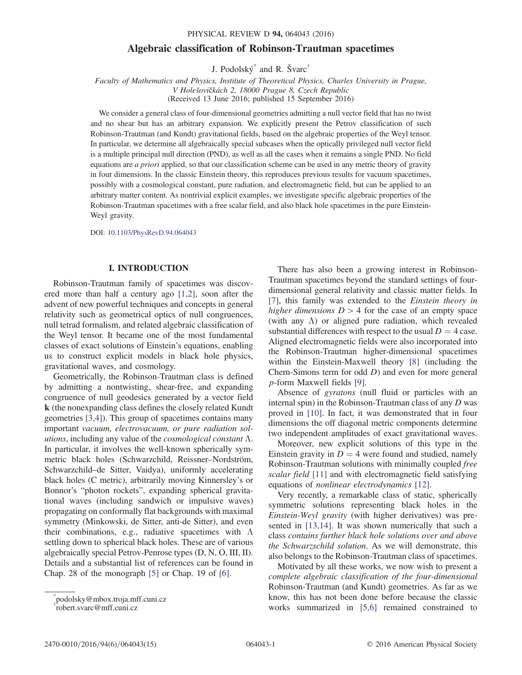## Algebraic classification of Robinson-Trautman spacetimes

J. Podolský[\\*](#page-0-0) and R. Švarc[†](#page-0-1)

<span id="page-0-2"></span>Faculty of Mathematics and Physics, Institute of Theoretical Physics, Charles University in Prague, V Holešovičkách 2, 18000 Prague 8, Czech Republic (Received 13 June 2016; published 15 September 2016)

We consider a general class of four-dimensional geometries admitting a null vector field that has no twist and no shear but has an arbitrary expansion. We explicitly present the Petrov classification of such Robinson-Trautman (and Kundt) gravitational fields, based on the algebraic properties of the Weyl tensor. In particular, we determine all algebraically special subcases when the optically privileged null vector field is a multiple principal null direction (PND), as well as all the cases when it remains a single PND. No field equations are *a priori* applied, so that our classification scheme can be used in any metric theory of gravity in four dimensions. In the classic Einstein theory, this reproduces previous results for vacuum spacetimes, possibly with a cosmological constant, pure radiation, and electromagnetic field, but can be applied to an arbitrary matter content. As nontrivial explicit examples, we investigate specific algebraic properties of the Robinson-Trautman spacetimes with a free scalar field, and also black hole spacetimes in the pure Einstein-Weyl gravity.

DOI: [10.1103/PhysRevD.94.064043](http://dx.doi.org/10.1103/PhysRevD.94.064043)

### I. INTRODUCTION

Robinson-Trautman family of spacetimes was discovered more than half a century ago [\[1,2\],](#page-14-0) soon after the advent of new powerful techniques and concepts in general relativity such as geometrical optics of null congruences, null tetrad formalism, and related algebraic classification of the Weyl tensor. It became one of the most fundamental classes of exact solutions of Einstein's equations, enabling us to construct explicit models in black hole physics, gravitational waves, and cosmology.

Geometrically, the Robinson-Trautman class is defined by admitting a nontwisting, shear-free, and expanding congruence of null geodesics generated by a vector field k (the nonexpanding class defines the closely related Kundt geometries [\[3,4\]](#page-14-1)). This group of spacetimes contains many important vacuum, electrovacuum, or pure radiation solutions, including any value of the *cosmological constant*  $\Lambda$ . In particular, it involves the well-known spherically symmetric black holes (Schwarzchild, Reissner–Nordström, Schwarzchild–de Sitter, Vaidya), uniformly accelerating black holes (C metric), arbitrarily moving Kinnersley's or Bonnor's "photon rockets", expanding spherical gravitational waves (including sandwich or impulsive waves) propagating on conformally flat backgrounds with maximal symmetry (Minkowski, de Sitter, anti-de Sitter), and even their combinations, e.g., radiative spacetimes with  $\Lambda$ settling down to spherical black holes. These are of various algebraically special Petrov-Penrose types (D, N, O, III, II). Details and a substantial list of references can be found in Chap. 28 of the monograph [\[5\]](#page-14-2) or Chap. 19 of [\[6\]](#page-14-3).

There has also been a growing interest in Robinson-Trautman spacetimes beyond the standard settings of fourdimensional general relativity and classic matter fields. In [\[7\]](#page-14-4), this family was extended to the Einstein theory in higher dimensions  $D > 4$  for the case of an empty space (with any  $\Lambda$ ) or aligned pure radiation, which revealed substantial differences with respect to the usual  $D = 4$  case. Aligned electromagnetic fields were also incorporated into the Robinson-Trautman higher-dimensional spacetimes within the Einstein-Maxwell theory [\[8\]](#page-14-5) (including the Chern-Simons term for odd D) and even for more general p-form Maxwell fields [\[9\].](#page-14-6)

Absence of gyratons (null fluid or particles with an internal spin) in the Robinson-Trautman class of any D was proved in [\[10\].](#page-14-7) In fact, it was demonstrated that in four dimensions the off diagonal metric components determine two independent amplitudes of exact gravitational waves.

Moreover, new explicit solutions of this type in the Einstein gravity in  $D = 4$  were found and studied, namely Robinson-Trautman solutions with minimally coupled free scalar field [\[11\]](#page-14-8) and with electromagnetic field satisfying equations of nonlinear electrodynamics [\[12\].](#page-14-9)

Very recently, a remarkable class of static, spherically symmetric solutions representing black holes in the Einstein-Weyl gravity (with higher derivatives) was pre-sented in [\[13,14\].](#page-14-10) It was shown numerically that such a class contains further black hole solutions over and above the Schwarzschild solution. As we will demonstrate, this also belongs to the Robinson-Trautman class of spacetimes.

Motivated by all these works, we now wish to present a complete algebraic classification of the four-dimensional Robinson-Trautman (and Kundt) geometries. As far as we know, this has not been done before because the classic works summarized in [\[5,6\]](#page-14-2) remained constrained to

<span id="page-0-1"></span><span id="page-0-0"></span>[<sup>\\*</sup>](#page-0-2) podolsky@mbox.troja.mff.cuni.cz [†](#page-0-2) robert.svarc@mff.cuni.cz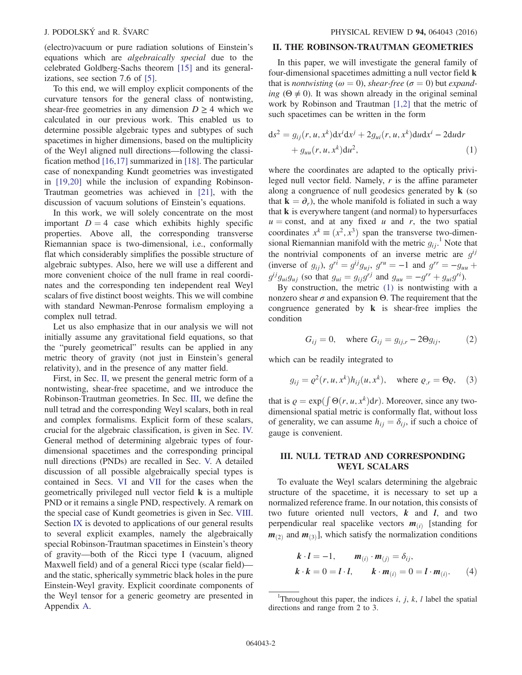(electro)vacuum or pure radiation solutions of Einstein's equations which are algebraically special due to the celebrated Goldberg-Sachs theorem [\[15\]](#page-14-11) and its generalizations, see section 7.6 of [\[5\].](#page-14-2)

To this end, we will employ explicit components of the curvature tensors for the general class of nontwisting, shear-free geometries in any dimension  $D \geq 4$  which we calculated in our previous work. This enabled us to determine possible algebraic types and subtypes of such spacetimes in higher dimensions, based on the multiplicity of the Weyl aligned null directions—following the classification method [\[16,17\]](#page-14-12) summarized in [\[18\].](#page-14-13) The particular case of nonexpanding Kundt geometries was investigated in [\[19,20\]](#page-14-14) while the inclusion of expanding Robinson-Trautman geometries was achieved in [\[21\],](#page-14-15) with the discussion of vacuum solutions of Einstein's equations.

In this work, we will solely concentrate on the most important  $D = 4$  case which exhibits highly specific properties. Above all, the corresponding transverse Riemannian space is two-dimensional, i.e., conformally flat which considerably simplifies the possible structure of algebraic subtypes. Also, here we will use a different and more convenient choice of the null frame in real coordinates and the corresponding ten independent real Weyl scalars of five distinct boost weights. This we will combine with standard Newman-Penrose formalism employing a complex null tetrad.

Let us also emphasize that in our analysis we will not initially assume any gravitational field equations, so that the "purely geometrical" results can be applied in any metric theory of gravity (not just in Einstein's general relativity), and in the presence of any matter field.

First, in Sec. [II,](#page-1-0) we present the general metric form of a nontwisting, shear-free spacetime, and we introduce the Robinson-Trautman geometries. In Sec. [III,](#page-1-1) we define the null tetrad and the corresponding Weyl scalars, both in real and complex formalisms. Explicit form of these scalars, crucial for the algebraic classification, is given in Sec. [IV.](#page-2-0) General method of determining algebraic types of fourdimensional spacetimes and the corresponding principal null directions (PNDs) are recalled in Sec. [V.](#page-4-0) A detailed discussion of all possible algebraically special types is contained in Secs. [VI](#page-4-1) and [VII](#page-6-0) for the cases when the geometrically privileged null vector field k is a multiple PND or it remains a single PND, respectively. A remark on the special case of Kundt geometries is given in Sec. [VIII](#page-8-0). Section [IX](#page-8-1) is devoted to applications of our general results to several explicit examples, namely the algebraically special Robinson-Trautman spacetimes in Einstein's theory of gravity—both of the Ricci type I (vacuum, aligned Maxwell field) and of a general Ricci type (scalar field) and the static, spherically symmetric black holes in the pure Einstein-Weyl gravity. Explicit coordinate components of the Weyl tensor for a generic geometry are presented in Appendix [A](#page-13-0).

# <span id="page-1-0"></span>II. THE ROBINSON-TRAUTMAN GEOMETRIES

In this paper, we will investigate the general family of four-dimensional spacetimes admitting a null vector field k that is nontwisting ( $\omega = 0$ ), shear-free ( $\sigma = 0$ ) but expanding ( $\Theta \neq 0$ ). It was shown already in the original seminal work by Robinson and Trautman [\[1,2\]](#page-14-0) that the metric of such spacetimes can be written in the form

<span id="page-1-2"></span>
$$
ds2 = gij(r, u, xk)dxidxj + 2gui(r, u, xk)dudxi – 2dudr+ guu(r, u, xk)du2,
$$
\n(1)

where the coordinates are adapted to the optically privileged null vector field. Namely, r is the affine parameter along a congruence of null geodesics generated by k (so that  $\mathbf{k} = \partial_r$ , the whole manifold is foliated in such a way that  $\bf{k}$  is everywhere tangent (and normal) to hypersurfaces  $u =$ const, and at any fixed u and r, the two spatial coordinates  $x^k \equiv (x^2, x^3)$  span the transverse two-dimensional Riemannian manifold with the metric  $g_{ij}$ .<sup>1</sup> Note that the nontrivial components of an inverse metric are  $q^{ij}$ (inverse of  $g_{ij}$ ),  $g^{r\bar{i}} = g^{ij}g_{uj}$ ,  $g^{ru} = -1$  and  $g^{rr} = -g_{uu}$  +  $g^{ij}g_{ui}g_{ui}$  (so that  $g_{ui} = g_{ij}g^{rj}$  and  $g_{uu} = -g^{rr} + g_{ui}g^{ri}$ ).

<span id="page-1-5"></span>By construction, the metric [\(1\)](#page-1-2) is nontwisting with a nonzero shear  $\sigma$  and expansion Θ. The requirement that the congruence generated by  $\bf{k}$  is shear-free implies the condition

$$
G_{ij} = 0
$$
, where  $G_{ij} = g_{ij,r} - 2\Theta g_{ij}$ , (2)

<span id="page-1-4"></span>which can be readily integrated to

$$
g_{ij} = \varrho^2(r, u, x^k) h_{ij}(u, x^k), \quad \text{where } \varrho_{,r} = \Theta \varrho, \quad (3)
$$

that is  $\varrho = \exp(\int \Theta(r, u, x^k) dr)$ . Moreover, since any two-<br>dimensional spatial metric is conformally flat, without loss dimensional spatial metric is conformally flat, without loss of generality, we can assume  $h_{ij} = \delta_{ij}$ , if such a choice of gauge is convenient.

### <span id="page-1-1"></span>III. NULL TETRAD AND CORRESPONDING WEYL SCALARS

To evaluate the Weyl scalars determining the algebraic structure of the spacetime, it is necessary to set up a normalized reference frame. In our notation, this consists of two future oriented null vectors,  $k$  and  $l$ , and two perpendicular real spacelike vectors  $m_{(i)}$  [standing for  $m_{(2)}$  and  $m_{(3)}$ , which satisfy the normalization conditions

<span id="page-1-3"></span>
$$
\begin{aligned} \n\boldsymbol{k} \cdot \boldsymbol{l} &= -1, & \boldsymbol{m}_{(i)} \cdot \boldsymbol{m}_{(j)} &= \delta_{ij}, \\ \n\boldsymbol{k} \cdot \boldsymbol{k} &= 0 &= \boldsymbol{l} \cdot \boldsymbol{l}, & \boldsymbol{k} \cdot \boldsymbol{m}_{(i)} &= 0 &= \boldsymbol{l} \cdot \boldsymbol{m}_{(i)}. \n\end{aligned} \tag{4}
$$

<sup>&</sup>lt;sup>1</sup>Throughout this paper, the indices *i*, *j*, *k*, *l* label the spatial directions and range from 2 to 3.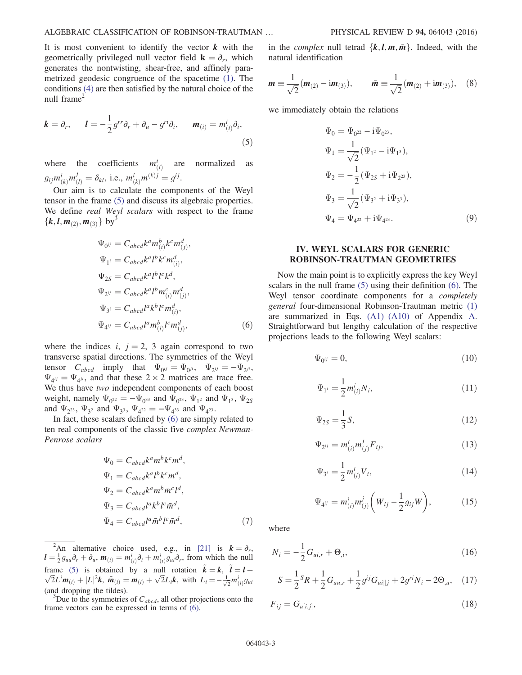It is most convenient to identify the vector  $k$  with the geometrically privileged null vector field  $\mathbf{k} = \partial_r$ , which generates the nontwisting, shear-free, and affinely parametrized geodesic congruence of the spacetime [\(1\).](#page-1-2) The conditions [\(4\)](#page-1-3) are then satisfied by the natural choice of the null frame<sup>2</sup>

<span id="page-2-1"></span>
$$
\mathbf{k} = \partial_r, \qquad \mathbf{l} = -\frac{1}{2}g^{rr}\partial_r + \partial_u - g^{ri}\partial_i, \qquad \mathbf{m}_{(i)} = m_{(i)}^i \partial_i,
$$
\n
$$
(5)
$$

where the coefficients  $m_{(i)}^i$ ðiÞ are normalized as  $g_{ij}m_{(k)}^i m_{(l)}^j = \delta_{kl}$ , i.e.,  $m_{(k)}^i m_{(k)}^j = g^{ij}$ .<br>Our sim is to solvulate the same.

<span id="page-2-2"></span> $\sum_{k=0}^{m(k)} \sum_{j=0}^{m(k)} \sum_{k=0}^{m(k)} \sum_{k=0}^{m(k)} \sum_{k=0}^{m(k)} \sum_{k=0}^{m(k)} \sum_{k=0}^{m(k)}$  Our aim is to calculate the components of the Weyl tensor in the frame [\(5\)](#page-2-1) and discuss its algebraic properties. We define *real Weyl scalars* with respect to the frame  ${k, l, m_{(2)}, m_{(3)}$  by<sup>3</sup>

$$
\Psi_{0ij} = C_{abcd}k^a m_{(i)}^b k^c m_{(j)}^d,
$$
  
\n
$$
\Psi_{1i} = C_{abcd}k^a l^b k^c m_{(i)}^d,
$$
  
\n
$$
\Psi_{2S} = C_{abcd}k^a l^b l^c k^d,
$$
  
\n
$$
\Psi_{2ij} = C_{abcd}k^a l^b m_{(i)}^c m_{(j)}^d,
$$
  
\n
$$
\Psi_{3i} = C_{abcd}l^a k^b l^c m_{(i)}^d,
$$
  
\n
$$
\Psi_{4ij} = C_{abcd}l^a m_{(i)}^b l^c m_{(j)}^d,
$$
\n(6)

where the indices i,  $j = 2$ , 3 again correspond to two transverse spatial directions. The symmetries of the Weyl tensor  $C_{abcd}$  imply that  $\Psi_{0^{ij}} = \Psi_{0^{ji}}$ ,  $\Psi_{2^{ij}} = -\Psi_{2^{ji}}$ ,  $\Psi_{4ij} = \Psi_{4ji}$ , and that these  $2 \times 2$  matrices are trace free. We thus have two independent components of each boost weight, namely  $\Psi_{0^{22}} = -\Psi_{0^{33}}$  and  $\Psi_{0^{23}}$ ,  $\Psi_{1^2}$  and  $\Psi_{1^3}$ ,  $\Psi_{2^3}$ and  $\Psi_{2^{23}}$ ,  $\Psi_{3^2}$  and  $\Psi_{3^3}$ ,  $\Psi_{4^{22}} = -\Psi_{4^{33}}$  and  $\Psi_{4^{23}}$ .

In fact, these scalars defined by [\(6\)](#page-2-2) are simply related to ten real components of the classic five complex Newman-Penrose scalars

$$
\Psi_0 = C_{abcd}k^a m^b k^c m^d,
$$
  
\n
$$
\Psi_1 = C_{abcd}k^a l^b k^c m^d,
$$
  
\n
$$
\Psi_2 = C_{abcd}k^a m^b \bar{m}^c l^d,
$$
  
\n
$$
\Psi_3 = C_{abcd}l^a k^b l^c \bar{m}^d,
$$
  
\n
$$
\Psi_4 = C_{abcd}l^a \bar{m}^b l^c \bar{m}^d,
$$
\n(7)

<sup>2</sup>An alternative choice used, e.g., in [\[21\]](#page-14-15) is  $k = \partial_r$ ,<br> $\frac{1}{2}a$ ,  $\partial_1 + \partial_2$ ,  $m_{\Omega} = m^i \partial_1 + m^i a$ ,  $\partial_2$ , from which the null  $\mathbf{l} = \frac{1}{2} g_{uu} \partial_r + \partial_u, \mathbf{m}_{(i)} = m_{(i)}^i \partial_i + m_{(i)}^i g_{ui} \partial_r$ , from which the null frame [\(5\)](#page-2-1) is obtained by a null rotation  $\tilde{k} = k$ ,  $\tilde{l} = l + \sqrt{2}L^i m_{(i)} + |L|^2 k$ ,  $\tilde{m}_{(i)} = m_{(i)} + \sqrt{2}L_i k$ , with  $L_i = -\frac{1}{2}m_{(i)}^i g_{ui}$  $\sqrt{2}L^{i}m_{(i)} + |L|^{2}k$ ,  $\tilde{m}_{(i)} = m_{(i)} + \sqrt{2}L_{i}k$ , with  $L_{i} = -\frac{1}{\sqrt{2}}m^{i}_{(i)}g_{ui}$ (and dropping the tildes).

Pouse to the symmetries of  $C_{abcd}$ , all other projections onto the frame vectors can be expressed in terms of [\(6\)](#page-2-2).

<span id="page-2-7"></span>in the *complex* null tetrad  $\{k, l, m, \bar{m}\}\$ . Indeed, with the natural identification

$$
\mathbf{m} \equiv \frac{1}{\sqrt{2}} (\mathbf{m}_{(2)} - \mathrm{i}\mathbf{m}_{(3)}), \qquad \bar{\mathbf{m}} \equiv \frac{1}{\sqrt{2}} (\mathbf{m}_{(2)} + \mathrm{i}\mathbf{m}_{(3)}), \quad (8)
$$

<span id="page-2-8"></span>we immediately obtain the relations

$$
\Psi_0 = \Psi_{0^{22}} - i\Psi_{0^{23}},
$$
\n
$$
\Psi_1 = \frac{1}{\sqrt{2}} (\Psi_{1^2} - i\Psi_{1^3}),
$$
\n
$$
\Psi_2 = -\frac{1}{2} (\Psi_{2S} + i\Psi_{2^{23}}),
$$
\n
$$
\Psi_3 = \frac{1}{\sqrt{2}} (\Psi_{3^2} + i\Psi_{3^3}),
$$
\n
$$
\Psi_4 = \Psi_{4^{22}} + i\Psi_{4^{23}}.
$$
\n(9)

# <span id="page-2-0"></span>IV. WEYL SCALARS FOR GENERIC ROBINSON-TRAUTMAN GEOMETRIES

Now the main point is to explicitly express the key Weyl scalars in the null frame [\(5\)](#page-2-1) using their definition [\(6\)](#page-2-2). The Weyl tensor coordinate components for a completely general four-dimensional Robinson-Trautman metric [\(1\)](#page-1-2) are summarized in Eqs. [\(A1\)](#page-13-1)–[\(A10\)](#page-14-16) of Appendix [A](#page-13-0). Straightforward but lengthy calculation of the respective projections leads to the following Weyl scalars:

<span id="page-2-6"></span><span id="page-2-4"></span>
$$
\Psi_{0^{ij}} = 0,\tag{10}
$$

$$
\Psi_{1^i} = \frac{1}{2} m^i_{(i)} N_i,
$$
\n(11)

<span id="page-2-10"></span>
$$
\Psi_{2S} = \frac{1}{3}S,\tag{12}
$$

<span id="page-2-11"></span>
$$
\Psi_{2^{ij}} = m^{i}_{(i)} m^{j}_{(j)} F_{ij}, \qquad (13)
$$

$$
\Psi_{3^i} = \frac{1}{2} m_{(i)}^i V_i,
$$
\n(14)

$$
\Psi_{4^{ij}} = m_{(i)}^i m_{(j)}^j \left( W_{ij} - \frac{1}{2} g_{ij} W \right), \tag{15}
$$

<span id="page-2-5"></span><span id="page-2-3"></span>where

$$
N_i = -\frac{1}{2}G_{ui,r} + \Theta_{,i},\tag{16}
$$

<span id="page-2-9"></span>
$$
S = \frac{1}{2}^{S} R + \frac{1}{2} G_{uu,r} + \frac{1}{2} g^{ij} G_{ui||j} + 2 g^{ri} N_i - 2 \Theta_{,u}, \quad (17)
$$

$$
F_{ij} = G_{u[i,j]},\tag{18}
$$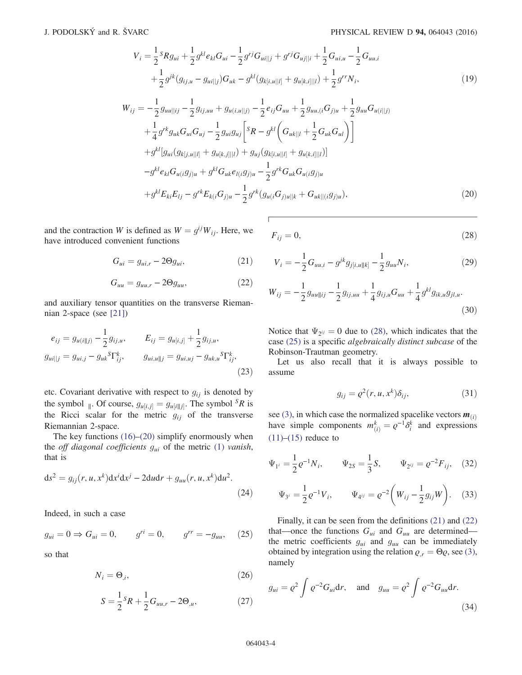$$
V_{i} = \frac{1}{2} {}^{S}Rg_{ui} + \frac{1}{2} g^{kl} e_{kl} G_{ui} - \frac{1}{2} g^{rj} G_{ui||j} + g^{rj} G_{uj||i} + \frac{1}{2} G_{ui,u} - \frac{1}{2} G_{uu,i}
$$
  
+ 
$$
\frac{1}{2} g^{jk} (g_{ij,u} - g_{ui||j}) G_{uk} - g^{kl} (g_{k[i,u||l]} + g_{u[k,i]||l}) + \frac{1}{2} g^{rr} N_{i},
$$
(19)

<span id="page-3-0"></span>
$$
W_{ij} = -\frac{1}{2} g_{uu||ij} - \frac{1}{2} g_{ij,uu} + g_{u(i,u||j)} - \frac{1}{2} e_{ij} G_{uu} + \frac{1}{2} g_{uu,(i} G_{j)u} + \frac{1}{2} g_{uu} G_{u(i||j)}
$$
  
+ 
$$
\frac{1}{4} g^{rk} g_{uk} G_{ui} G_{uj} - \frac{1}{2} g_{ui} g_{uj} \left[ {}^{S}R - g^{kl} \left( G_{uk||l} + \frac{1}{2} G_{uk} G_{ul} \right) \right]
$$
  
+ 
$$
g^{kl} [g_{ui} (g_{kj, u||l]} + g_{u[k, j]||l}) + g_{uj} (g_{k[i, u||l]} + g_{u[k, i]||l})]
$$
  
- 
$$
g^{kl} e_{kl} G_{u(i} g_{j)u} + g^{kl} G_{uk} e_{l(i} g_{j)u} - \frac{1}{2} g^{rk} G_{uk} G_{u(i} g_{j)u}
$$
  
+ 
$$
g^{kl} E_{ki} E_{lj} - g^{rk} E_{k(i} G_{j)u} - \frac{1}{2} g^{rk} (g_{u(i} G_{j)u||k} + G_{uk} ||_{(i} g_{j)u}),
$$
(20)

<span id="page-3-3"></span>and the contraction W is defined as  $W = g^{ij}W_{ij}$ . Here, we have introduced convenient functions

$$
G_{ui} = g_{ui,r} - 2\Theta g_{ui},\tag{21}
$$

$$
G_{uu} = g_{uu,r} - 2\Theta g_{uu},\tag{22}
$$

<span id="page-3-11"></span><span id="page-3-4"></span>and auxiliary tensor quantities on the transverse Riemannian 2-space (see [\[21\]](#page-14-15))

$$
e_{ij} = g_{u(i||j)} - \frac{1}{2} g_{ij,u}, \t E_{ij} = g_{u[i,j]} + \frac{1}{2} g_{ij,u},
$$
  
\n
$$
g_{ui||j} = g_{ui,j} - g_{uk}{}^{S} \Gamma_{ij}^{k}, \t g_{ui,u||j} = g_{ui,uj} - g_{uk,u}{}^{S} \Gamma_{ij}^{k},
$$
\n(23)

etc. Covariant derivative with respect to  $g_{ij}$  is denoted by the symbol <sub>∥</sub>. Of course,  $g_{u[i,j]} = g_{u[i||j]}$ . The symbol <sup>S</sup>R is<br>the Bicci scalar for the metric  $g_{u[i]}$  of the transverse the Ricci scalar for the metric  $g_{ij}$  of the transverse Riemannian 2-space.

<span id="page-3-6"></span>The key functions  $(16)$ – $(20)$  simplify enormously when the off diagonal coefficients  $g_{ui}$  of the metric [\(1\)](#page-1-2) vanish, that is

$$
ds2 = gij(r, u, xk)dxidxj - 2dudr + guu(r, u, xk)du2.
$$
\n(24)

<span id="page-3-2"></span>Indeed, in such a case

$$
g_{ui} = 0 \Rightarrow G_{ui} = 0, \qquad g^{ri} = 0, \qquad g^{rr} = -g_{uu}, \qquad (25)
$$

<span id="page-3-9"></span><span id="page-3-7"></span>so that

$$
N_i = \Theta_{,i},\tag{26}
$$

$$
S = \frac{1}{2}S_R + \frac{1}{2}G_{uu,r} - 2\Theta_{,u},
$$
 (27)

<span id="page-3-1"></span>
$$
F_{ij} = 0,\t\t(28)
$$

$$
V_i = -\frac{1}{2}G_{uu,i} - g^{jk}g_{j[i,u||k]} - \frac{1}{2}g_{uu}N_i,
$$
\n(29)

<span id="page-3-8"></span>
$$
W_{ij} = -\frac{1}{2} g_{uu||ij} - \frac{1}{2} g_{ij,uu} + \frac{1}{4} g_{ij,u} G_{uu} + \frac{1}{4} g^{kl} g_{ik,u} g_{jl,u}.
$$
\n(30)

Notice that  $\Psi_{2} = 0$  due to [\(28\)](#page-3-1), which indicates that the case [\(25\)](#page-3-2) is a specific algebraically distinct subcase of the Robinson-Trautman geometry.

<span id="page-3-10"></span>Let us also recall that it is always possible to assume

$$
g_{ij} = \varrho^2(r, u, x^k) \delta_{ij}, \qquad (31)
$$

see [\(3\),](#page-1-4) in which case the normalized spacelike vectors  $\mathbf{m}_{(i)}$ have simple components  $m_{(i)}^k = \varrho^{-1} \delta_i^k$  and expressions (11) (15) reduce to  $(11)–(15)$  $(11)–(15)$  $(11)–(15)$  reduce to

$$
\Psi_{1^i} = \frac{1}{2} \varrho^{-1} N_i, \qquad \Psi_{2S} = \frac{1}{3} S, \qquad \Psi_{2^{ij}} = \varrho^{-2} F_{ij}, \quad (32)
$$

$$
\Psi_{3^i} = \frac{1}{2} \varrho^{-1} V_i, \qquad \Psi_{4^{ij}} = \varrho^{-2} \left( W_{ij} - \frac{1}{2} g_{ij} W \right). \tag{33}
$$

<span id="page-3-5"></span>Finally, it can be seen from the definitions [\(21\)](#page-3-3) and [\(22\)](#page-3-4) that—once the functions  $G_{ui}$  and  $G_{uu}$  are determined the metric coefficients  $g_{ui}$  and  $g_{uu}$  can be immediately obtained by integration using the relation  $\varrho_{,r} = \Theta \varrho$ , see [\(3\)](#page-1-4), namely

$$
g_{ui} = \varrho^2 \int \varrho^{-2} G_{ui} \mathrm{d}r, \quad \text{and} \quad g_{uu} = \varrho^2 \int \varrho^{-2} G_{uu} \mathrm{d}r. \tag{34}
$$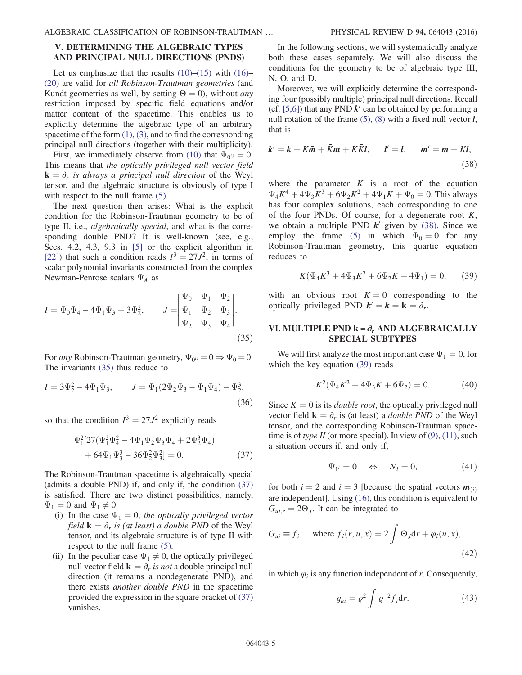# <span id="page-4-0"></span>V. DETERMINING THE ALGEBRAIC TYPES AND PRINCIPAL NULL DIRECTIONS (PNDS)

Let us emphasize that the results  $(10)$ – $(15)$  with  $(16)$ – [\(20\)](#page-3-0) are valid for all Robinson-Trautman geometries (and Kundt geometries as well, by setting  $\Theta = 0$ ), without *any* restriction imposed by specific field equations and/or matter content of the spacetime. This enables us to explicitly determine the algebraic type of an arbitrary spacetime of the form  $(1)$ ,  $(3)$ , and to find the corresponding principal null directions (together with their multiplicity).

First, we immediately observe from [\(10\)](#page-2-6) that  $\Psi_{0} = 0$ . This means that the optically privileged null vector field  ${\bf k} = \partial_r$  is always a principal null direction of the Weyl tensor, and the algebraic structure is obviously of type I with respect to the null frame  $(5)$ .

The next question then arises: What is the explicit condition for the Robinson-Trautman geometry to be of type II, i.e., algebraically special, and what is the corresponding double PND? It is well-known (see, e.g., Secs. 4.2, 4.3, 9.3 in [\[5\]](#page-14-2) or the explicit algorithm in [\[22\]](#page-14-17)) that such a condition reads  $I^3 = 27J^2$ , in terms of scalar polynomial invariants constructed from the complex Newman-Penrose scalars  $\Psi_A$  as

<span id="page-4-2"></span>
$$
I = \Psi_0 \Psi_4 - 4\Psi_1 \Psi_3 + 3\Psi_2^2, \qquad J = \begin{vmatrix} \Psi_0 & \Psi_1 & \Psi_2 \\ \Psi_1 & \Psi_2 & \Psi_3 \\ \Psi_2 & \Psi_3 & \Psi_4 \end{vmatrix}.
$$
\n(35)

For any Robinson-Trautman geometry,  $\Psi_{0} = 0 \Rightarrow \Psi_0 = 0$ . The invariants [\(35\)](#page-4-2) thus reduce to

$$
I = 3\Psi_2^2 - 4\Psi_1\Psi_3, \qquad J = \Psi_1(2\Psi_2\Psi_3 - \Psi_1\Psi_4) - \Psi_2^3,
$$
\n(36)

<span id="page-4-3"></span>so that the condition  $I^3 = 27J^2$  explicitly reads

$$
\Psi_1^2[27(\Psi_1^2\Psi_4^2 - 4\Psi_1\Psi_2\Psi_3\Psi_4 + 2\Psi_2^3\Psi_4) + 64\Psi_1\Psi_3^3 - 36\Psi_2^2\Psi_3^2] = 0.
$$
\n(37)

The Robinson-Trautman spacetime is algebraically special (admits a double PND) if, and only if, the condition [\(37\)](#page-4-3) is satisfied. There are two distinct possibilities, namely,  $\Psi_1 = 0$  and  $\Psi_1 \neq 0$ 

- (i) In the case  $\Psi_1 = 0$ , the optically privileged vector field  ${\bf k} = \partial_r$  is (at least) a double PND of the Weyl tensor, and its algebraic structure is of type II with respect to the null frame [\(5\).](#page-2-1)
- (ii) In the peculiar case  $\Psi_1 \neq 0$ , the optically privileged null vector field  $\mathbf{k} = \partial_r$  is not a double principal null direction (it remains a nondegenerate PND), and there exists another double PND in the spacetime provided the expression in the square bracket of [\(37\)](#page-4-3) vanishes.

In the following sections, we will systematically analyze both these cases separately. We will also discuss the conditions for the geometry to be of algebraic type III, N, O, and D.

Moreover, we will explicitly determine the corresponding four (possibly multiple) principal null directions. Recall (cf. [\[5,6\]](#page-14-2)) that any PND  $k'$  can be obtained by performing a null rotation of the frame  $(5)$ ,  $(8)$  with a fixed null vector *l*, that is

<span id="page-4-4"></span>
$$
k' = k + K\overline{m} + \overline{K}m + K\overline{K}l, \qquad l' = l, \qquad m' = m + Kl,
$$
\n(38)

where the parameter  $K$  is a root of the equation  $\Psi_4 K^4 + 4\Psi_3 K^3 + 6\Psi_2 K^2 + 4\Psi_1 K + \Psi_0 = 0$ . This always has four complex solutions, each corresponding to one of the four PNDs. Of course, for a degenerate root  $K$ , we obtain a multiple PND  $k'$  given by [\(38\)](#page-4-4). Since we employ the frame [\(5\)](#page-2-1) in which  $\Psi_0 = 0$  for any Robinson-Trautman geometry, this quartic equation reduces to

<span id="page-4-5"></span>
$$
K(\Psi_4 K^3 + 4\Psi_3 K^2 + 6\Psi_2 K + 4\Psi_1) = 0, \qquad (39)
$$

with an obvious root  $K = 0$  corresponding to the optically privileged PND  $k' = k = k = \partial_r$ .

## <span id="page-4-1"></span>VI. MULTIPLE PND  $k = \partial_r$  AND ALGEBRAICALLY SPECIAL SUBTYPES

<span id="page-4-7"></span>We will first analyze the most important case  $\Psi_1 = 0$ , for which the key equation [\(39\)](#page-4-5) reads

$$
K^{2}(\Psi_{4}K^{2} + 4\Psi_{3}K + 6\Psi_{2}) = 0.
$$
 (40)

Since  $K = 0$  is its *double root*, the optically privileged null vector field  $\mathbf{k} = \partial_r$  is (at least) a *double PND* of the Weyl tensor, and the corresponding Robinson-Trautman spacetime is of type II (or more special). In view of  $(9)$ ,  $(11)$ , such a situation occurs if, and only if,

$$
\Psi_{1^i} = 0 \quad \Leftrightarrow \quad N_i = 0,\tag{41}
$$

<span id="page-4-6"></span>for both  $i = 2$  and  $i = 3$  [because the spatial vectors  $m_{(i)}$ are independent]. Using [\(16\),](#page-2-3) this condition is equivalent to  $G_{ui,r} = 2\Theta_{i}$ . It can be integrated to

$$
G_{ui} \equiv f_i, \quad \text{where } f_i(r, u, x) = 2 \int \Theta_i \mathrm{d}r + \varphi_i(u, x), \tag{42}
$$

in which  $\varphi_i$  is any function independent of r. Consequently,

$$
g_{ui} = \varrho^2 \int \varrho^{-2} f_i \mathrm{d}r. \tag{43}
$$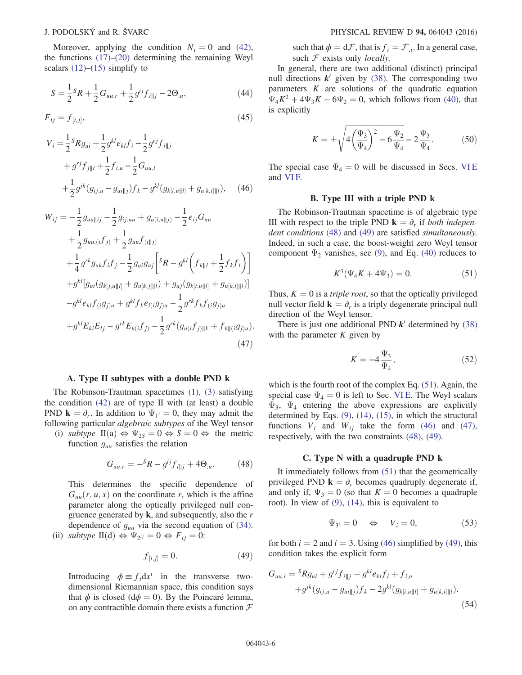Moreover, applying the condition  $N_i = 0$  and [\(42\)](#page-4-6), the functions [\(17\)](#page-2-9)–[\(20\)](#page-3-0) determining the remaining Weyl scalars  $(12)$ – $(15)$  simplify to

$$
S = \frac{1}{2} {}^{S}R + \frac{1}{2} G_{uu,r} + \frac{1}{2} g^{ij} f_{i||j} - 2\Theta_{,u},
$$
\n(44)

<span id="page-5-7"></span>
$$
F_{ij} = f_{[i,j]},\tag{45}
$$

<span id="page-5-3"></span>
$$
V_{i} = \frac{1}{2}^{S} R g_{ui} + \frac{1}{2} g^{kl} e_{kl} f_{i} - \frac{1}{2} g^{rj} f_{i||j}
$$
  
+  $g^{rj} f_{j||i} + \frac{1}{2} f_{i,u} - \frac{1}{2} G_{uu,i}$   
+  $\frac{1}{2} g^{jk} (g_{ij,u} - g_{ui||j}) f_{k} - g^{kl} (g_{k[i,u||l]} + g_{u[k,i]||l}),$  (46)

<span id="page-5-4"></span>
$$
W_{ij} = -\frac{1}{2} g_{uu||ij} - \frac{1}{2} g_{ij,uu} + g_{u(i,u||j)} - \frac{1}{2} e_{ij} G_{uu}
$$
  
+ 
$$
\frac{1}{2} g_{uu,(i} f_{j)} + \frac{1}{2} g_{uu} f_{(i||j)}
$$
  
+ 
$$
\frac{1}{4} g^{rk} g_{uk} f_i f_j - \frac{1}{2} g_{ui} g_{uj} \left[ sR - g^{kl} \left( f_{k||l} + \frac{1}{2} f_k f_l \right) \right]
$$
  
+ 
$$
g^{kl} [g_{ui} (g_{k[j,u||l]} + g_{u[k,j]||l}) + g_{uj} (g_{k[i,u||l]} + g_{u[k,i]||l})]
$$
  
- 
$$
g^{kl} e_{kl} f_{(i} g_{j)u} + g^{kl} f_k e_{l(i} g_{j)u} - \frac{1}{2} g^{rk} f_k f_{(i} g_{j)u}
$$
  
+ 
$$
g^{kl} E_{ki} E_{lj} - g^{rk} E_{k(i} f_{j)} - \frac{1}{2} g^{rk} (g_{u(i} f_{j)||k} + f_{k||(i} g_{j)u}).
$$
(47)

#### A. Type II subtypes with a double PND k

The Robinson-Trautman spacetimes [\(1\)](#page-1-2), [\(3\)](#page-1-4) satisfying the condition [\(42\)](#page-4-6) are of type II with (at least) a double PND  $\mathbf{k} = \partial_r$ . In addition to  $\Psi_1 = 0$ , they may admit the following particular algebraic subtypes of the Weyl tensor

<span id="page-5-0"></span>(i) subtype  $\text{II}(a) \Leftrightarrow \Psi_{2S} = 0 \Leftrightarrow S = 0 \Leftrightarrow \text{ the metric}$ function  $g_{uu}$  satisfies the relation

$$
G_{uu,r} = -{}^S R - g^{ij} f_{i||j} + 4\Theta_{,u}.
$$
 (48)

<span id="page-5-1"></span>This determines the specific dependence of  $G_{uu}(r, u, x)$  on the coordinate r, which is the affine parameter along the optically privileged null congruence generated by  $k$ , and subsequently, also the  $r$ dependence of  $g_{uu}$  via the second equation of [\(34\)](#page-3-5). (ii) subtype  $II(d) \Leftrightarrow \Psi_{2^{ij}} = 0 \Leftrightarrow F_{ij} = 0$ :

$$
f_{[i,j]} = 0.\t\t(49)
$$

Introducing  $\phi \equiv f_i dx^i$  in the transverse twodimensional Riemannian space, this condition says that  $\phi$  is closed (d $\phi = 0$ ). By the Poincaré lemma, on any contractible domain there exists a function  $\mathcal F$  such that  $\phi = d\mathcal{F}$ , that is  $f_i = \mathcal{F}_i$ . In a general case, such  $F$  exists only *locally*.

<span id="page-5-5"></span>In general, there are two additional (distinct) principal null directions  $k'$  given by [\(38\).](#page-4-4) The corresponding two parameters  $K$  are solutions of the quadratic equation  $\Psi_4K^2 + 4\Psi_3K + 6\Psi_2 = 0$ , which follows from [\(40\)](#page-4-7), that is explicitly

$$
K = \pm \sqrt{4\left(\frac{\Psi_3}{\Psi_4}\right)^2 - 6\frac{\Psi_2}{\Psi_4}} - 2\frac{\Psi_3}{\Psi_4}.
$$
 (50)

The special case  $\Psi_4 = 0$  will be discussed in Secs. [VI E](#page-6-1) and [VI F.](#page-6-2)

#### B. Type III with a triple PND k

<span id="page-5-2"></span>The Robinson-Trautman spacetime is of algebraic type III with respect to the triple PND  $\mathbf{k} = \partial_r$  if both indepen-dent conditions [\(48\)](#page-5-0) and [\(49\)](#page-5-1) are satisfied simultaneously. Indeed, in such a case, the boost-weight zero Weyl tensor component  $\Psi_2$  vanishes, see [\(9\),](#page-2-8) and Eq. [\(40\)](#page-4-7) reduces to

$$
K^3(\Psi_4 K + 4\Psi_3) = 0.
$$
 (51)

Thus,  $K = 0$  is a *triple root*, so that the optically privileged null vector field  $\mathbf{k} = \partial_r$  is a triply degenerate principal null direction of the Weyl tensor.

<span id="page-5-6"></span>There is just one additional PND  $k'$  determined by [\(38\)](#page-4-4) with the parameter  $K$  given by

$$
K = -4\frac{\Psi_3}{\Psi_4},\tag{52}
$$

which is the fourth root of the complex Eq. [\(51\).](#page-5-2) Again, the special case  $\Psi_4 = 0$  is left to Sec. [VI E.](#page-6-1) The Weyl scalars  $\Psi_3$ ,  $\Psi_4$  entering the above expressions are explicitly determined by Eqs. [\(9\)](#page-2-8), [\(14\),](#page-2-11) [\(15\),](#page-2-5) in which the structural functions  $V_i$  and  $W_{ij}$  take the form [\(46\)](#page-5-3) and [\(47\)](#page-5-4), respectively, with the two constraints [\(48\),](#page-5-0) [\(49\)](#page-5-1).

#### C. Type N with a quadruple PND k

It immediately follows from [\(51\)](#page-5-2) that the geometrically privileged PND  $\mathbf{k} = \partial_r$  becomes quadruply degenerate if, and only if,  $\Psi_3 = 0$  (so that  $K = 0$  becomes a quadruple root). In view of [\(9\)](#page-2-8), [\(14\),](#page-2-11) this is equivalent to

$$
\Psi_{3^i} = 0 \quad \Leftrightarrow \quad V_i = 0,\tag{53}
$$

for both  $i = 2$  and  $i = 3$ . Using [\(46\)](#page-5-3) simplified by [\(49\)](#page-5-1), this condition takes the explicit form

$$
G_{uu,i} = {}^{S}Rg_{ui} + g^{rj}f_{i||j} + g^{kl}e_{kl}f_i + f_{i,u}
$$
  
+ 
$$
g^{jk}(g_{ij,u} - g_{ui||j})f_k - 2g^{kl}(g_{k[i,u||l]} + g_{u[k,i]||l}).
$$
  
(54)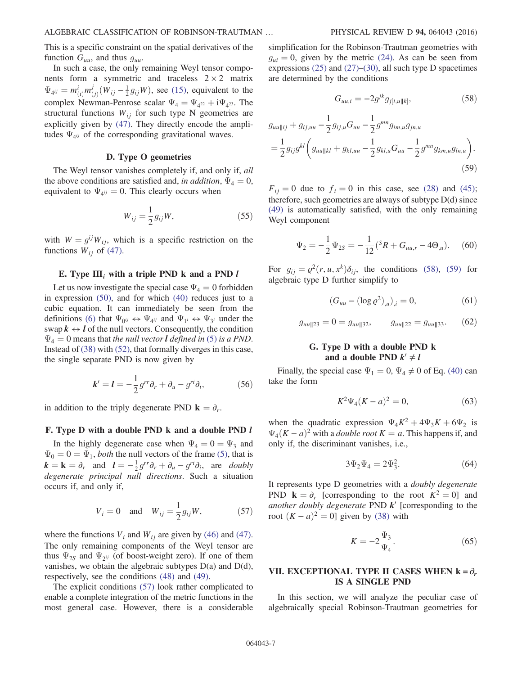This is a specific constraint on the spatial derivatives of the function  $G_{uu}$ , and thus  $g_{uu}$ .

In such a case, the only remaining Weyl tensor components form a symmetric and traceless  $2 \times 2$  matrix  $\Psi_{4ij} = m^i_{(i)}$  $m_{\ell}^j$  $\frac{J_j}{(j)}(W_{ij} - \frac{1}{2}g_{ij}W)$ , see [\(15\),](#page-2-5) equivalent to the complex Newman-Penrose scalar  $\Psi_4 = \Psi_{4^{22}} + i\Psi_{4^{23}}$ . The structural functions  $W_{ij}$  for such type N geometries are explicitly given by [\(47\)](#page-5-4). They directly encode the amplitudes  $\Psi_{4ij}$  of the corresponding gravitational waves.

#### D. Type O geometries

The Weyl tensor vanishes completely if, and only if, all the above conditions are satisfied and, in addition,  $\Psi_4 = 0$ , equivalent to  $\Psi_{4ij} = 0$ . This clearly occurs when

$$
W_{ij} = \frac{1}{2} g_{ij} W,\tag{55}
$$

with  $W = g^{ij}W_{ij}$ , which is a specific restriction on the functions  $W_{ij}$  of [\(47\).](#page-5-4)

#### <span id="page-6-1"></span>E. Type  $III_i$  with a triple PND k and a PND l

Let us now investigate the special case  $\Psi_4 = 0$  forbidden in expression [\(50\)](#page-5-5), and for which [\(40\)](#page-4-7) reduces just to a cubic equation. It can immediately be seen from the definitions [\(6\)](#page-2-2) that  $\Psi_{0} \rightarrow \Psi_{4}$  and  $\Psi_{1} \rightarrow \Psi_{3}$  under the swap  $k \leftrightarrow l$  of the null vectors. Consequently, the condition  $\Psi_4 = 0$  means that the null vector **l** defined in [\(5\)](#page-2-1) is a PND. Instead of [\(38\)](#page-4-4) with [\(52\)](#page-5-6), that formally diverges in this case, the single separate PND is now given by

<span id="page-6-6"></span>
$$
\mathbf{k}' = \mathbf{l} = -\frac{1}{2}g^{rr}\partial_r + \partial_u - g^{ri}\partial_i,\tag{56}
$$

<span id="page-6-2"></span>in addition to the triply degenerate PND  $\mathbf{k} = \partial_r$ .

# F. Type D with a double PND k and a double PND l

<span id="page-6-3"></span>In the highly degenerate case when  $\Psi_4 = 0 = \Psi_3$  and  $\Psi_0 = 0 = \Psi_1$ , both the null vectors of the frame [\(5\),](#page-2-1) that is  $k = k = \partial_r$  and  $l = -\frac{1}{2}g^{rr}\partial_r + \partial_u - g^{ri}\partial_i$ , are doubly degenerate principal null directions. Such a situation occurs if, and only if,

$$
V_i = 0
$$
 and  $W_{ij} = \frac{1}{2} g_{ij} W,$  (57)

where the functions  $V_i$  and  $W_{ij}$  are given by [\(46\)](#page-5-3) and [\(47\)](#page-5-4). The only remaining components of the Weyl tensor are thus  $\Psi_{2S}$  and  $\Psi_{2ij}$  (of boost-weight zero). If one of them vanishes, we obtain the algebraic subtypes D(a) and D(d), respectively, see the conditions [\(48\)](#page-5-0) and [\(49\)](#page-5-1).

The explicit conditions [\(57\)](#page-6-3) look rather complicated to enable a complete integration of the metric functions in the most general case. However, there is a considerable <span id="page-6-4"></span>simplification for the Robinson-Trautman geometries with  $g_{ui} = 0$ , given by the metric [\(24\).](#page-3-6) As can be seen from expressions  $(25)$  and  $(27)$ – $(30)$ , all such type D spacetimes are determined by the conditions

$$
G_{uu,i} = -2g^{jk}g_{j[i,u||k]},
$$
\n(58)

<span id="page-6-5"></span>
$$
g_{uu||ij} + g_{ij,uu} - \frac{1}{2} g_{ij,u} G_{uu} - \frac{1}{2} g^{mn} g_{im,u} g_{jn,u}
$$
  
=  $\frac{1}{2} g_{ij} g^{kl} \left( g_{uu||kl} + g_{kl,uu} - \frac{1}{2} g_{kl,u} G_{uu} - \frac{1}{2} g^{mn} g_{km,u} g_{ln,u} \right).$  (59)

 $F_{ii} = 0$  due to  $f_i = 0$  in this case, see [\(28\)](#page-3-1) and [\(45\)](#page-5-7); therefore, such geometries are always of subtype D(d) since [\(49\)](#page-5-1) is automatically satisfied, with the only remaining Weyl component

$$
\Psi_2 = -\frac{1}{2}\Psi_{2S} = -\frac{1}{12}({}^S R + G_{uu,r} - 4\Theta_{,u}).
$$
 (60)

For  $g_{ij} = \varrho^2(r, u, x^k) \delta_{ij}$ , the conditions [\(58\)](#page-6-4), [\(59\)](#page-6-5) for algebraic type D further simplify to

$$
(G_{uu} - (\log \varrho^2)_{,u})_{,i} = 0,\t\t(61)
$$

$$
g_{uu||23} = 0 = g_{uu||32}, \qquad g_{uu||22} = g_{uu||33}.
$$
 (62)

# G. Type D with a double PND k and a double PND  $k' \neq l$

<span id="page-6-7"></span>Finally, the special case  $\Psi_1 = 0$ ,  $\Psi_4 \neq 0$  of Eq. [\(40\)](#page-4-7) can take the form

$$
K^2 \Psi_4 (K - a)^2 = 0, \tag{63}
$$

<span id="page-6-8"></span>when the quadratic expression  $\Psi_4 K^2 + 4\Psi_3 K + 6\Psi_2$  is  $\Psi_4(K-a)^2$  with a *double root*  $K = a$ . This happens if, and only if, the discriminant vanishes, i.e.,

$$
3\Psi_2\Psi_4 = 2\Psi_3^2. \tag{64}
$$

It represents type D geometries with a doubly degenerate PND  $\mathbf{k} = \partial_r$  [corresponding to the root  $K^2 = 0$ ] and another doubly degenerate PND  $k'$  [corresponding to the root  $(K - a)^2 = 0$ ] given by [\(38\)](#page-4-4) with

$$
K = -2\frac{\Psi_3}{\Psi_4}.\tag{65}
$$

# <span id="page-6-0"></span>VII. EXCEPTIONAL TYPE II CASES WHEN  $k = \partial_r$ IS A SINGLE PND

In this section, we will analyze the peculiar case of algebraically special Robinson-Trautman geometries for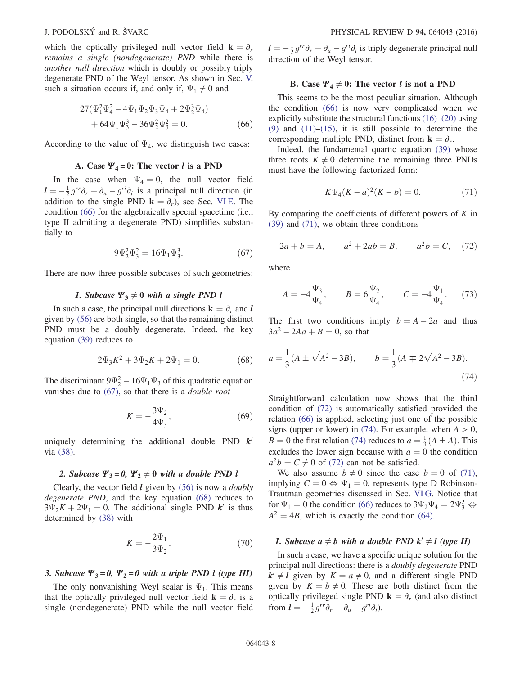<span id="page-7-0"></span>which the optically privileged null vector field  $\mathbf{k} = \partial_r$ remains a single (nondegenerate) PND while there is another null direction which is doubly or possibly triply degenerate PND of the Weyl tensor. As shown in Sec. [V,](#page-4-0) such a situation occurs if, and only if,  $\Psi_1 \neq 0$  and

$$
27(\Psi_1^2 \Psi_4^2 - 4\Psi_1 \Psi_2 \Psi_3 \Psi_4 + 2\Psi_2^3 \Psi_4) + 64\Psi_1 \Psi_3^3 - 36\Psi_2^2 \Psi_3^2 = 0.
$$
 (66)

According to the value of  $\Psi_4$ , we distinguish two cases:

# A. Case  $\Psi_4 = 0$ : The vector *l* is a PND

<span id="page-7-1"></span>In the case when  $\Psi_4 = 0$ , the null vector field  $l = -\frac{1}{2}g^{rr}\partial_r + \partial_u - g^{ri}\partial_i$  is a principal null direction (in addition to the single PND  $\mathbf{k} = \partial_i$ ) see Sec. VLE The addition to the single PND  $\mathbf{k} = \partial_r$ ), see Sec. [VI E.](#page-6-1) The condition [\(66\)](#page-7-0) for the algebraically special spacetime (i.e., type II admitting a degenerate PND) simplifies substantially to

$$
9\Psi_2^2\Psi_3^2 = 16\Psi_1\Psi_3^3. \tag{67}
$$

There are now three possible subcases of such geometries:

# 1. Subcase  $\Psi_3 \neq 0$  with a single PND l

<span id="page-7-2"></span>In such a case, the principal null directions  $\mathbf{k} = \partial_r$  and l given by [\(56\)](#page-6-6) are both single, so that the remaining distinct PND must be a doubly degenerate. Indeed, the key equation [\(39\)](#page-4-5) reduces to

$$
2\Psi_3 K^2 + 3\Psi_2 K + 2\Psi_1 = 0.
$$
 (68)

The discriminant  $9\Psi_2^2 - 16\Psi_1\Psi_3$  of this quadratic equation vanishes due to [\(67\)](#page-7-1), so that there is a double root

$$
K = -\frac{3\Psi_2}{4\Psi_3},\tag{69}
$$

uniquely determining the additional double PND  $k<sup>1</sup>$ via [\(38\).](#page-4-4)

### 2. Subcase  $\Psi_3 = 0$ ,  $\Psi_2 \neq 0$  with a double PND l

Clearly, the vector field  $l$  given by [\(56\)](#page-6-6) is now a *doubly* degenerate PND, and the key equation [\(68\)](#page-7-2) reduces to  $3\Psi_2K + 2\Psi_1 = 0$ . The additional single PND k<sup>t</sup> is thus determined by [\(38\)](#page-4-4) with

$$
K = -\frac{2\Psi_1}{3\Psi_2}.\t(70)
$$

#### 3. Subcase  $\Psi_3 = 0$ ,  $\Psi_2 = 0$  with a triple PND l (type III)

The only nonvanishing Weyl scalar is  $\Psi_1$ . This means that the optically privileged null vector field  $\mathbf{k} = \partial_r$  is a single (nondegenerate) PND while the null vector field

 $\mathbf{l} = -\frac{1}{2}g^{rr}\partial_r + \partial_u - g^{ri}\partial_i$  is triply degenerate principal null direction of the Weyl tensor direction of the Weyl tensor.

# B. Case  $\Psi_4 \neq 0$ : The vector l is not a PND

This seems to be the most peculiar situation. Although the condition [\(66\)](#page-7-0) is now very complicated when we explicitly substitute the structural functions [\(16\)](#page-2-3)–[\(20\)](#page-3-0) using [\(9\)](#page-2-8) and  $(11)$ – $(15)$ , it is still possible to determine the corresponding multiple PND, distinct from  $\mathbf{k} = \partial_r$ .

<span id="page-7-3"></span>Indeed, the fundamental quartic equation [\(39\)](#page-4-5) whose three roots  $K \neq 0$  determine the remaining three PNDs must have the following factorized form:

$$
K\Psi_4(K-a)^2(K-b) = 0.
$$
 (71)

<span id="page-7-4"></span>By comparing the coefficients of different powers of  $K$  in [\(39\)](#page-4-5) and [\(71\),](#page-7-3) we obtain three conditions

$$
2a + b = A
$$
,  $a^2 + 2ab = B$ ,  $a^2b = C$ , (72)

where

$$
A = -4\frac{\Psi_3}{\Psi_4}, \qquad B = 6\frac{\Psi_2}{\Psi_4}, \qquad C = -4\frac{\Psi_1}{\Psi_4}.
$$
 (73)

<span id="page-7-5"></span>The first two conditions imply  $b = A - 2a$  and thus  $3a^2 - 2Aa + B = 0$ , so that

$$
a = \frac{1}{3}(A \pm \sqrt{A^2 - 3B}), \qquad b = \frac{1}{3}(A \mp 2\sqrt{A^2 - 3B}).
$$
\n(74)

Straightforward calculation now shows that the third condition of [\(72\)](#page-7-4) is automatically satisfied provided the relation [\(66\)](#page-7-0) is applied, selecting just one of the possible signs (upper or lower) in [\(74\)](#page-7-5). For example, when  $A > 0$ ,  $B = 0$  the first relation [\(74\)](#page-7-5) reduces to  $a = \frac{1}{3}(A \pm A)$ . This excludes the lower sign because with  $a = 0$  the condition  $a^2b = C \neq 0$  of [\(72\)](#page-7-4) can not be satisfied.

We also assume  $b \neq 0$  since the case  $b = 0$  of [\(71\)](#page-7-3), implying  $C = 0 \Leftrightarrow \Psi_1 = 0$ , represents type D Robinson-Trautman geometries discussed in Sec. [VI G](#page-6-7). Notice that for  $\Psi_1 = 0$  the condition [\(66\)](#page-7-0) reduces to  $3\Psi_2\Psi_4 = 2\Psi_3^2 \Leftrightarrow$ <br> $A^2 = AB$ , which is exactly the condition (64)  $A^2 = 4B$ , which is exactly the condition [\(64\).](#page-6-8)

# 1. Subcase  $a \neq b$  with a double PND  $k' \neq l$  (type II)

In such a case, we have a specific unique solution for the principal null directions: there is a doubly degenerate PND  $k' \neq l$  given by  $K = a \neq 0$ , and a different single PND given by  $K = b \neq 0$ . These are both distinct from the optically privileged single PND  $\mathbf{k} = \partial_r$  (and also distinct from  $\mathbf{l} = -\frac{1}{2}g^{rr}\partial_r + \partial_u - g^{ri}\partial_i$ ).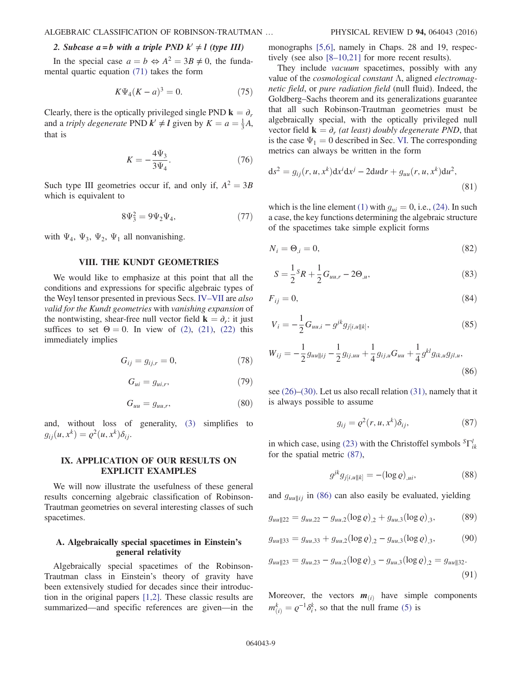# 2. Subcase  $a = b$  with a triple PND  $k' \neq l$  (type III)

In the special case  $a = b \Leftrightarrow A^2 = 3B \neq 0$ , the fundamental quartic equation [\(71\)](#page-7-3) takes the form

$$
K\Psi_4(K-a)^3 = 0.
$$
 (75)

Clearly, there is the optically privileged single PND  $\mathbf{k} = \partial_r$ and a *triply degenerate* PND  $k' \neq l$  given by  $K = a = \frac{1}{3}A$ , that is that is

$$
K = -\frac{4\Psi_3}{3\Psi_4}.\tag{76}
$$

Such type III geometries occur if, and only if,  $A^2 = 3B$ which is equivalent to

$$
8\Psi_3^2 = 9\Psi_2\Psi_4,\t\t(77)
$$

<span id="page-8-0"></span>with  $\Psi_4$ ,  $\Psi_3$ ,  $\Psi_2$ ,  $\Psi_1$  all nonvanishing.

# VIII. THE KUNDT GEOMETRIES

We would like to emphasize at this point that all the conditions and expressions for specific algebraic types of the Weyl tensor presented in previous Secs. IV–[VII](#page-2-0) are also valid for the Kundt geometries with vanishing expansion of the nontwisting, shear-free null vector field  $\mathbf{k} = \partial_r$ : it just suffices to set  $\Theta = 0$ . In view of [\(2\)](#page-1-5), [\(21\)](#page-3-3), [\(22\)](#page-3-4) this immediately implies

$$
G_{ij} = g_{ij,r} = 0,\t\t(78)
$$

$$
G_{ui} = g_{ui,r},\tag{79}
$$

$$
G_{uu} = g_{uu,r},\tag{80}
$$

<span id="page-8-1"></span>and, without loss of generality, [\(3\)](#page-1-4) simplifies to  $g_{ii}(u, x^k) = \varrho^2(u, x^k) \delta_{ii}.$ 

### IX. APPLICATION OF OUR RESULTS ON EXPLICIT EXAMPLES

We will now illustrate the usefulness of these general results concerning algebraic classification of Robinson-Trautman geometries on several interesting classes of such spacetimes.

## A. Algebraically special spacetimes in Einstein's general relativity

Algebraically special spacetimes of the Robinson-Trautman class in Einstein's theory of gravity have been extensively studied for decades since their introduction in the original papers [\[1,2\]](#page-14-0). These classic results are summarized—and specific references are given—in the monographs [\[5,6\],](#page-14-2) namely in Chaps. 28 and 19, respectively (see also [8–[10,21\]](#page-14-5) for more recent results).

They include *vacuum* spacetimes, possibly with any value of the *cosmological constant*  $\Lambda$ , aligned *electromag*netic field, or pure radiation field (null fluid). Indeed, the Goldberg–Sachs theorem and its generalizations guarantee that all such Robinson-Trautman geometries must be algebraically special, with the optically privileged null vector field  $\mathbf{k} = \partial_r$  (at least) doubly degenerate PND, that is the case  $\Psi_1 = 0$  described in Sec. [VI.](#page-4-1) The corresponding metrics can always be written in the form

<span id="page-8-5"></span>
$$
ds2 = gij(r, u, xk)dxidxj – 2dudr + guu(r, u, xk)du2,
$$
\n(81)

<span id="page-8-4"></span>which is the line element [\(1\)](#page-1-2) with  $g_{ui} = 0$ , i.e., [\(24\)](#page-3-6). In such a case, the key functions determining the algebraic structure of the spacetimes take simple explicit forms

<span id="page-8-9"></span>
$$
N_i = \Theta_{,i} = 0,\tag{82}
$$

$$
S = \frac{1}{2}S_R + \frac{1}{2}G_{uu,r} - 2\Theta_{,u},
$$
\n(83)

$$
F_{ij} = 0,\t\t(84)
$$

$$
V_i = -\frac{1}{2}G_{uu,i} - g^{jk}g_{j[i,u||k]},
$$
\n(85)

<span id="page-8-3"></span>
$$
W_{ij} = -\frac{1}{2} g_{uu||ij} - \frac{1}{2} g_{ij,uu} + \frac{1}{4} g_{ij,u} G_{uu} + \frac{1}{4} g^{kl} g_{ik,u} g_{jl,u},
$$
\n(86)

<span id="page-8-2"></span>see [\(26\)](#page-3-9)–[\(30\)](#page-3-8). Let us also recall relation [\(31\),](#page-3-10) namely that it is always possible to assume

$$
g_{ij} = \varrho^2(r, u, x^k) \delta_{ij}, \qquad (87)
$$

in which case, using [\(23\)](#page-3-11) with the Christoffel symbols  ${}^{S}\Gamma^l_{ik}$ for the spatial metric [\(87\),](#page-8-2)

$$
g^{jk}g_{j[i,u||k]} = -(\log \varrho)_{,ui},\tag{88}
$$

<span id="page-8-6"></span>and  $g_{uu||ij}$  in [\(86\)](#page-8-3) can also easily be evaluated, yielding

$$
g_{uu||22} = g_{uu,22} - g_{uu,2} (\log \varrho)_{,2} + g_{uu,3} (\log \varrho)_{,3},
$$
 (89)

<span id="page-8-7"></span>
$$
g_{uu||33} = g_{uu,33} + g_{uu,2} (\log \varrho)_{,2} - g_{uu,3} (\log \varrho)_{,3},
$$
 (90)

$$
g_{uu||23} = g_{uu,23} - g_{uu,2} (\log \varrho)_{,3} - g_{uu,3} (\log \varrho)_{,2} = g_{uu||32}.
$$
\n(91)

<span id="page-8-8"></span>Moreover, the vectors  $m_{(i)}$  have simple components  $m_{(i)}^k = \varrho^{-1} \delta_i^k$ , so that the null frame [\(5\)](#page-2-1) is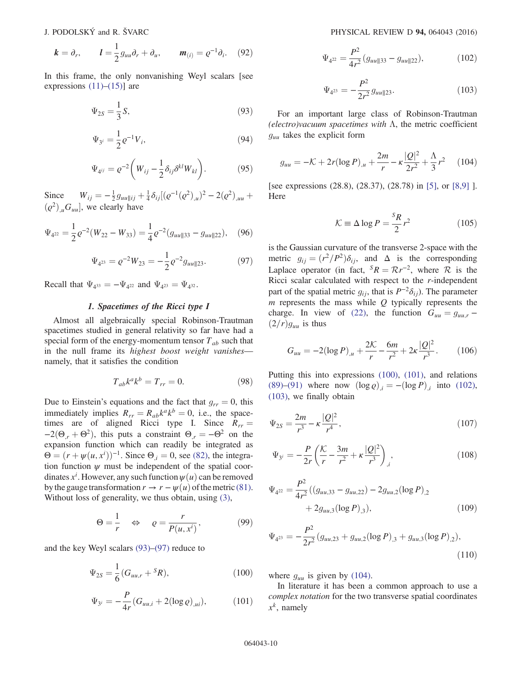$$
\boldsymbol{k} = \partial_r, \qquad \boldsymbol{l} = \frac{1}{2} g_{uu} \partial_r + \partial_u, \qquad \boldsymbol{m}_{(i)} = \varrho^{-1} \partial_i. \quad (92)
$$

<span id="page-9-0"></span>In this frame, the only nonvanishing Weyl scalars [see expressions  $(11)–(15)$  $(11)–(15)$ ] are

$$
\Psi_{2S} = \frac{1}{3}S,\tag{93}
$$

$$
\Psi_{3^i} = \frac{1}{2} \varrho^{-1} V_i,
$$
\n(94)

$$
\Psi_{4^{ij}} = \varrho^{-2} \left( W_{ij} - \frac{1}{2} \delta_{ij} \delta^{kl} W_{kl} \right). \tag{95}
$$

Since  $W_{ij} = -\frac{1}{2} g_{uu|ij} + \frac{1}{4} \delta_{ij} [(\varrho^{-1}(\varrho^2)_{,u})^2 - 2(\varrho^2)_{,uu} +$  $(\varrho^2)_{,\mu} G_{uu}$ , we clearly have

<span id="page-9-1"></span>
$$
\Psi_{4^{22}} = \frac{1}{2}\varrho^{-2}(W_{22} - W_{33}) = \frac{1}{4}\varrho^{-2}(g_{uu||33} - g_{uu||22}), \quad (96)
$$

$$
\Psi_{4^{23}} = \varrho^{-2} W_{23} = -\frac{1}{2} \varrho^{-2} g_{uu||23}.
$$
 (97)

<span id="page-9-10"></span>Recall that  $\Psi_{4^{33}} = -\Psi_{4^{22}}$  and  $\Psi_{4^{23}} = \Psi_{4^{32}}$ .

## 1. Spacetimes of the Ricci type I

Almost all algebraically special Robinson-Trautman spacetimes studied in general relativity so far have had a special form of the energy-momentum tensor  $T_{ab}$  such that in the null frame its highest boost weight vanishesnamely, that it satisfies the condition

$$
T_{ab}k^ak^b = T_{rr} = 0.
$$
 (98)

Due to Einstein's equations and the fact that  $g_{rr} = 0$ , this immediately implies  $R_{rr} = R_{ab}k^a k^b = 0$ , i.e., the spacetimes are of aligned Ricci type I. Since  $R_{rr} =$  $-2(\Theta_{r} + \Theta^{2})$ , this puts a constraint  $\Theta_{r} = -\Theta^{2}$  on the expansion function which can readily be integrated as  $\Theta = (r + \psi(u, x^i))^{-1}$ . Since  $\Theta_{i,j} = 0$ , see [\(82\),](#page-8-4) the integra-<br>tion function  $w$  must be independent of the spatial coortion function  $\psi$  must be independent of the spatial coordinates  $x^i$ . However, any such function  $\psi(u)$  can be removed<br>by the gauge transformation  $r \to r - \psi(u)$  of the metric (8.1) by the gauge transformation  $r \to r - \psi(u)$  of the metric [\(81\)](#page-8-5). Without loss of generality, we thus obtain, using [\(3\)](#page-1-4),

<span id="page-9-9"></span>
$$
\Theta = \frac{1}{r} \quad \Leftrightarrow \quad \varrho = \frac{r}{P(u, x^i)},\tag{99}
$$

<span id="page-9-3"></span><span id="page-9-2"></span>and the key Weyl scalars [\(93\)](#page-9-0)–[\(97\)](#page-9-1) reduce to

$$
\Psi_{2S} = \frac{1}{6} (G_{uu,r} + {}^{S}R), \tag{100}
$$

$$
\Psi_{3^i} = -\frac{P}{4r}(G_{uu,i} + 2(\log \varrho)_{,ui}),\tag{101}
$$

<span id="page-9-4"></span>
$$
\Psi_{4^{22}} = \frac{P^2}{4r^2} (g_{uu||33} - g_{uu||22}), \tag{102}
$$

$$
\Psi_{4^{23}} = -\frac{P^2}{2r^2} g_{uu||23}.
$$
\n(103)

<span id="page-9-6"></span><span id="page-9-5"></span>For an important large class of Robinson-Trautman (electro) vacuum spacetimes with  $\Lambda$ , the metric coefficient  $g_{uu}$  takes the explicit form

$$
g_{uu} = -\mathcal{K} + 2r(\log P)_{,u} + \frac{2m}{r} - \kappa \frac{|Q|^2}{2r^2} + \frac{\Lambda}{3}r^2 \tag{104}
$$

<span id="page-9-11"></span>[see expressions (28.8), (28.37), (28.78) in [\[5\]](#page-14-2), or [\[8,9\]](#page-14-5) ]. Here

$$
\mathcal{K} \equiv \Delta \log P = \frac{s_R}{2} r^2 \tag{105}
$$

is the Gaussian curvature of the transverse 2-space with the metric  $g_{ij} = (r^2/P^2)\delta_{ij}$ , and  $\Delta$  is the corresponding Laplace operator (in fact,  ${}^S R = \mathcal{R}r^{-2}$ , where  $\mathcal R$  is the Ricci scalar calculated with respect to the  $r$ -independent part of the spatial metric  $g_{ij}$ , that is  $P^{-2}\delta_{ij}$ ). The parameter  $m$  represents the mass while  $Q$  typically represents the charge. In view of [\(22\)](#page-3-4), the function  $G_{uu} = g_{uu,r}$  –  $(2/r)g_{uu}$  is thus

$$
G_{uu} = -2(\log P)_{,u} + \frac{2\mathcal{K}}{r} - \frac{6m}{r^2} + 2\kappa \frac{|Q|^2}{r^3}.
$$
 (106)

<span id="page-9-7"></span>Putting this into expressions [\(100\),](#page-9-2) [\(101\),](#page-9-3) and relations [\(89\)](#page-8-6)–[\(91\)](#page-8-7) where now  $(\log \varrho)_i = -(\log P)_i$  into [\(102\)](#page-9-4), [\(103\)](#page-9-5), we finally obtain

$$
\Psi_{2S} = \frac{2m}{r^3} - \kappa \frac{|Q|^2}{r^4},\tag{107}
$$

$$
\Psi_{3^i} = -\frac{P}{2r} \left( \frac{\mathcal{K}}{r} - \frac{3m}{r^2} + \kappa \frac{|\mathcal{Q}|^2}{r^3} \right)_{,i},\tag{108}
$$

$$
\Psi_{4^{22}} = \frac{P^2}{4r^2} \left( (g_{uu,33} - g_{uu,22}) - 2g_{uu,2} (\log P)_{,2} + 2g_{uu,3} (\log P)_{,3} \right),
$$
\n(109)

<span id="page-9-8"></span>
$$
\Psi_{4^{23}} = -\frac{P^2}{2r^2} (g_{uu,23} + g_{uu,2} (\log P)_{,3} + g_{uu,3} (\log P)_{,2}),
$$
\n(110)

where  $g_{uu}$  is given by [\(104\).](#page-9-6)

In literature it has been a common approach to use a complex notation for the two transverse spatial coordinates  $x^k$ , namely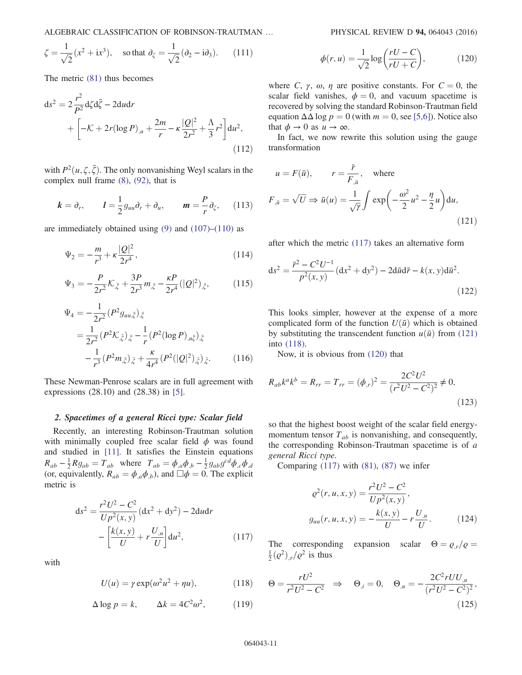ALGEBRAIC CLASSIFICATION OF ROBINSON-TRAUTMAN … PHYSICAL REVIEW D 94, 064043 (2016)

$$
\zeta = \frac{1}{\sqrt{2}} (x^2 + ix^3)
$$
, so that  $\partial_{\zeta} = \frac{1}{\sqrt{2}} (\partial_2 - i \partial_3)$ . (111)

<span id="page-10-6"></span>The metric [\(81\)](#page-8-5) thus becomes

$$
ds^{2} = 2\frac{r^{2}}{P^{2}}d\zeta d\bar{\zeta} - 2du dr + \left[ -\mathcal{K} + 2r(\log P)_{,u} + \frac{2m}{r} - \kappa \frac{|Q|^{2}}{2r^{2}} + \frac{\Lambda}{3}r^{2} \right] du^{2},
$$
\n(112)

with  $P^2(u, \zeta, \bar{\zeta})$ . The only nonvanishing Weyl scalars in the complex null frame (8) (92) that is complex null frame [\(8\),](#page-2-7) [\(92\)](#page-8-8), that is

$$
k = \partial_r
$$
,  $l = \frac{1}{2} g_{uu} \partial_r + \partial_u$ ,  $m = \frac{P}{r} \partial_\zeta$ , (113)

<span id="page-10-9"></span>are immediately obtained using  $(9)$  and  $(107)$ – $(110)$  as

$$
\Psi_2 = -\frac{m}{r^3} + \kappa \frac{|Q|^2}{2r^4},\tag{114}
$$

<span id="page-10-7"></span>
$$
\Psi_3 = -\frac{P}{2r^2} \mathcal{K}_{,\bar{\zeta}} + \frac{3P}{2r^3} m_{,\bar{\zeta}} - \frac{\kappa P}{2r^4} (|Q|^2)_{,\bar{\zeta}},\tag{115}
$$

<span id="page-10-8"></span>
$$
\Psi_4 = -\frac{1}{2r^2} (P^2 g_{uu,\bar{\zeta}})_{,\bar{\zeta}}
$$
  
= 
$$
\frac{1}{2r^2} (P^2 \mathcal{K}_{,\bar{\zeta}})_{,\bar{\zeta}} - \frac{1}{r} (P^2 (\log P)_{,u\bar{\zeta}})_{,\bar{\zeta}}
$$
  

$$
-\frac{1}{r^3} (P^2 m_{,\bar{\zeta}})_{,\bar{\zeta}} + \frac{\kappa}{4r^4} (P^2 (|Q|^2)_{,\bar{\zeta}})_{,\bar{\zeta}}.
$$
(116)

These Newman-Penrose scalars are in full agreement with expressions (28.10) and (28.38) in [\[5\].](#page-14-2)

#### <span id="page-10-10"></span>2. Spacetimes of a general Ricci type: Scalar field

<span id="page-10-0"></span>Recently, an interesting Robinson-Trautman solution with minimally coupled free scalar field  $\phi$  was found and studied in [\[11\].](#page-14-8) It satisfies the Einstein equations  $R_{ab} - \frac{1}{2} R g_{ab} = T_{ab}$  where  $T_{ab} = \phi_{,a} \phi_{,b} - \frac{1}{2} g_{ab} g^{cd} \phi_{,c} \phi_{,d}$ <br>(or equivalently  $R_{,a} = \phi_{,a} \phi_{,a}$ ) and  $\Box \phi = 0$ . The explicit (or, equivalently,  $R_{ab} = \phi_{a} \phi_{b}$ ), and  $\Box \phi = 0$ . The explicit metric is

$$
ds^{2} = \frac{r^{2}U^{2} - C^{2}}{Up^{2}(x, y)}(dx^{2} + dy^{2}) - 2du dr - \left[\frac{k(x, y)}{U} + r\frac{U_{,u}}{U}\right]du^{2},
$$
\n(117)

<span id="page-10-4"></span><span id="page-10-2"></span>with

$$
U(u) = \gamma \exp(\omega^2 u^2 + \eta u), \qquad (118)
$$

$$
\Delta \log p = k, \qquad \Delta k = 4C^2 \omega^2, \tag{119}
$$

$$
\phi(r, u) = \frac{1}{\sqrt{2}} \log \left( \frac{rU - C}{rU + C} \right),\tag{120}
$$

<span id="page-10-3"></span>where C,  $\gamma$ ,  $\omega$ ,  $\eta$  are positive constants. For  $C = 0$ , the scalar field vanishes,  $\phi = 0$ , and vacuum spacetime is recovered by solving the standard Robinson-Trautman field equation  $\Delta\Delta \log p = 0$  (with  $m = 0$ , see [\[5,6\]\)](#page-14-2). Notice also that  $\phi \to 0$  as  $u \to \infty$ .

<span id="page-10-1"></span>In fact, we now rewrite this solution using the gauge transformation

$$
u = F(\bar{u}), \qquad r = \frac{\bar{r}}{F_{,\bar{u}}}, \quad \text{where}
$$
  

$$
F_{,\bar{u}} = \sqrt{U} \Rightarrow \bar{u}(u) = \frac{1}{\sqrt{\gamma}} \int \exp\left(-\frac{\omega^2}{2}u^2 - \frac{\eta}{2}u\right) du,
$$
(121)

<span id="page-10-5"></span>after which the metric [\(117\)](#page-10-0) takes an alternative form

$$
ds^{2} = \frac{\bar{r}^{2} - C^{2}U^{-1}}{p^{2}(x, y)}(dx^{2} + dy^{2}) - 2d\bar{u}d\bar{r} - k(x, y)d\bar{u}^{2}.
$$
\n(122)

This looks simpler, however at the expense of a more complicated form of the function  $U(\bar{u})$  which is obtained by substituting the transcendent function  $u(\bar{u})$  from [\(121\)](#page-10-1) into [\(118\)](#page-10-2).

Now, it is obvious from [\(120\)](#page-10-3) that

$$
R_{ab}k^{a}k^{b} = R_{rr} = T_{rr} = (\phi_{,r})^{2} = \frac{2C^{2}U^{2}}{(r^{2}U^{2} - C^{2})^{2}} \neq 0,
$$
\n(123)

so that the highest boost weight of the scalar field energymomentum tensor  $T_{ab}$  is nonvanishing, and consequently, the corresponding Robinson-Trautman spacetime is of a general Ricci type.

Comparing  $(117)$  with  $(81)$ ,  $(87)$  we infer

$$
\varrho^{2}(r, u, x, y) = \frac{r^{2}U^{2} - C^{2}}{Up^{2}(x, y)},
$$

$$
g_{uu}(r, u, x, y) = -\frac{k(x, y)}{U} - r\frac{U_{,u}}{U}.
$$
(124)

The corresponding expansion scalar  $\Theta = \rho_r/\rho =$  $\frac{1}{2}(\varrho^2)$ ,  $\varrho^2$  is thus

$$
\Theta = \frac{rU^2}{r^2U^2 - C^2} \Rightarrow \Theta_{,i} = 0, \quad \Theta_{,u} = -\frac{2C^2rUU_{,u}}{(r^2U^2 - C^2)^2},
$$
\n(125)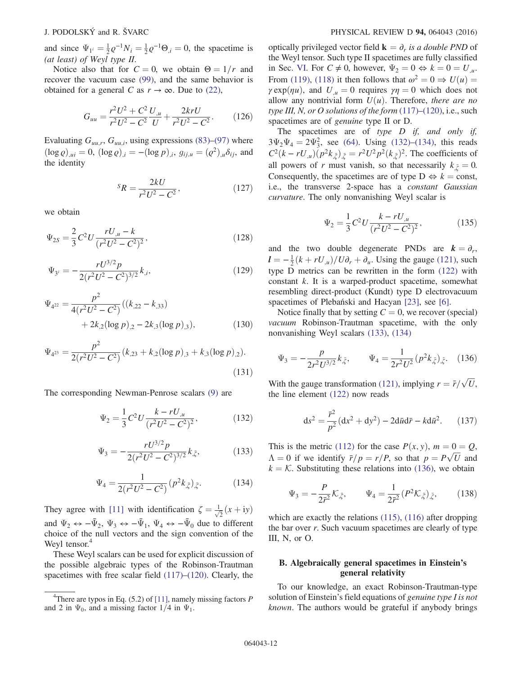and since  $\Psi_{1^i} = \frac{1}{2} \varrho^{-1} N_i = \frac{1}{2} \varrho^{-1} \Theta_{i,j} = 0$ , the spacetime is  $(\alpha t \text{ least})$  of Wayl time  $H$ (at least) of Weyl type II.

Notice also that for  $C = 0$ , we obtain  $\Theta = 1/r$  and recover the vacuum case [\(99\)](#page-9-9), and the same behavior is obtained for a general C as  $r \to \infty$ . Due to [\(22\),](#page-3-4)

$$
G_{uu} = \frac{r^2 U^2 + C^2}{r^2 U^2 - C^2} \frac{U_{,u}}{U} + \frac{2krU}{r^2 U^2 - C^2}.
$$
 (126)

Evaluating  $G_{uu,r}$ ,  $G_{uu,i}$ , using expressions [\(83\)](#page-8-9)–[\(97\)](#page-9-1) where  $(\log \varrho)_{u} = 0$ ,  $(\log \varrho)_{i} = -(\log p)_{i}$ ,  $g_{ij} = (\varrho^2)_{u} \delta_{ij}$ , and the identity

$$
{}^{S}R = \frac{2kU}{r^{2}U^{2} - C^{2}},
$$
\n(127)

we obtain

$$
\Psi_{2S} = \frac{2}{3} C^2 U \frac{r U_{,\mu} - k}{(r^2 U^2 - C^2)^2},\tag{128}
$$

$$
\Psi_{3^i} = -\frac{rU^{3/2}p}{2(r^2U^2 - C^2)^{3/2}}k_{,i},\tag{129}
$$

$$
\Psi_{4^{22}} = \frac{p^2}{4(r^2U^2 - C^2)}((k_{.22} - k_{.33})
$$
  
+ 2k<sub>.2</sub>(log p)<sub>.2</sub> - 2k<sub>.3</sub>(log p)<sub>.3</sub>), (130)

$$
\Psi_{4^{23}} = \frac{p^2}{2(r^2U^2 - C^2)} (k_{,23} + k_{,2} (\log p)_{,3} + k_{,3} (\log p)_{,2}).
$$
\n(131)

<span id="page-11-2"></span><span id="page-11-0"></span>The corresponding Newman-Penrose scalars [\(9\)](#page-2-8) are

$$
\Psi_2 = \frac{1}{3} C^2 U \frac{k - r U_{,\mu}}{(r^2 U^2 - C^2)^2},\tag{132}
$$

$$
\Psi_3 = -\frac{rU^{3/2}p}{2(r^2U^2 - C^2)^{3/2}}k_{,\bar{\zeta}},\tag{133}
$$

$$
\Psi_4 = \frac{1}{2(r^2U^2 - C^2)}(p^2k_{,\bar{\zeta}})_{,\bar{\zeta}}.\tag{134}
$$

<span id="page-11-1"></span>They agree with [\[11\]](#page-14-8) with identification  $\zeta = \frac{1}{\sqrt{2}}(x + iy)$ and  $\Psi_2 \leftrightarrow -\bar{\Psi}_2$ ,  $\Psi_3 \leftrightarrow -\bar{\Psi}_1$ ,  $\Psi_4 \leftrightarrow -\bar{\Psi}_0$  due to different choice of the null vectors and the sign convention of the Weyl tensor.

These Weyl scalars can be used for explicit discussion of the possible algebraic types of the Robinson-Trautman spacetimes with free scalar field [\(117\)](#page-10-0)–[\(120\)](#page-10-3). Clearly, the optically privileged vector field  $\mathbf{k} = \partial_r$  is a double PND of the Weyl tensor. Such type II spacetimes are fully classified in Sec. [VI](#page-4-1). For  $C \neq 0$ , however,  $\Psi_2 = 0 \Leftrightarrow k = 0 = U_{\mu}$ . From [\(119\),](#page-10-4) [\(118\)](#page-10-2) it then follows that  $\omega^2 = 0 \Rightarrow U(u) =$  $\gamma \exp(\eta u)$ , and  $U_{\mu} = 0$  requires  $\gamma \eta = 0$  which does not allow any nontrivial form  $U(u)$ . Therefore, there are no type III, N, or O solutions of the form  $(117)$ – $(120)$ , i.e., such spacetimes are of genuine type II or D.

The spacetimes are of type  $D$  if, and only if,  $3\Psi_2\Psi_4 = 2\Psi_3^2$ , see [\(64\)](#page-6-8). Using [\(132\)](#page-11-0)–[\(134\)](#page-11-1), this reads<br> $C^2(k - rL)(n^2k_1) = r^2L^2n^2(k_1)^2$ . The coefficients of  $C^2(k - rU_{,u})(p^2k_{,\bar{z}})_{,\bar{z}} = r^2U^2p^2(k_{,\bar{z}})^2$ . The coefficients of all powers of r must vanish, so that necessarily  $k_{\zeta} = 0$ .<br>Consequently, the specifier are of type  $D \leftrightarrow k = \text{const}$ . Consequently, the spacetimes are of type  $D \Leftrightarrow k = \text{const}$ , i.e., the transverse 2-space has a constant Gaussian curvature. The only nonvanishing Weyl scalar is

$$
\Psi_2 = \frac{1}{3} C^2 U \frac{k - rU_{,\mu}}{(r^2 U^2 - C^2)^2},\tag{135}
$$

and the two double degenerate PNDs are  $k = \partial_r$ ,  $l = -\frac{1}{2}(k + rU_{,u})/U\partial_r + \partial_u$ . Using the gauge [\(121\)](#page-10-1), such<br>type D metrics can be rewritten in the form (122) with type D metrics can be rewritten in the form [\(122\)](#page-10-5) with constant k. It is a warped-product spacetime, somewhat resembling direct-product (Kundt) type D electrovacuum spacetimes of Plebański and Hacyan [\[23\],](#page-14-18) see [\[6\].](#page-14-3)

<span id="page-11-3"></span>Notice finally that by setting  $C = 0$ , we recover (special) vacuum Robinson-Trautman spacetime, with the only nonvanishing Weyl scalars [\(133\),](#page-11-2) [\(134\)](#page-11-1)

$$
\Psi_3 = -\frac{p}{2r^2U^{3/2}}k_{,\bar{\zeta}}, \qquad \Psi_4 = \frac{1}{2r^2U^2}(p^2k_{,\bar{\zeta}})_{,\bar{\zeta}}.\tag{136}
$$

With the gauge transformation [\(121\),](#page-10-1) implying  $r = \bar{r}/\sqrt{U}$ , the line element (122) now reads the line element [\(122\)](#page-10-5) now reads

$$
ds^{2} = \frac{\bar{r}^{2}}{p^{2}}(dx^{2} + dy^{2}) - 2d\bar{u}d\bar{r} - k d\bar{u}^{2}.
$$
 (137)

This is the metric [\(112\)](#page-10-6) for the case  $P(x, y)$ ,  $m = 0 = Q$ ,  $\Lambda = 0$  if we identify  $\bar{r}/p = r/P$ , so that  $p = P\sqrt{U}$  and  $k = K$ . Substituting these relations into (136), we obtain  $k = \mathcal{K}$ . Substituting these relations into [\(136\),](#page-11-3) we obtain

$$
\Psi_3 = -\frac{P}{2\bar{r}^2} \mathcal{K}_{,\bar{\zeta}}, \qquad \Psi_4 = \frac{1}{2\bar{r}^2} (P^2 \mathcal{K}_{,\bar{\zeta}})_{,\bar{\zeta}}, \qquad (138)
$$

which are exactly the relations [\(115\)](#page-10-7), [\(116\)](#page-10-8) after dropping the bar over r. Such vacuum spacetimes are clearly of type III, N, or O.

# B. Algebraically general spacetimes in Einstein's general relativity

To our knowledge, an exact Robinson-Trautman-type solution of Einstein's field equations of *genuine type I is not* known. The authors would be grateful if anybody brings

<sup>&</sup>lt;sup>4</sup>There are typos in Eq. (5.2) of [\[11\],](#page-14-8) namely missing factors  $P$ and 2 in  $\Psi_0$ , and a missing factor 1/4 in  $\Psi_1$ .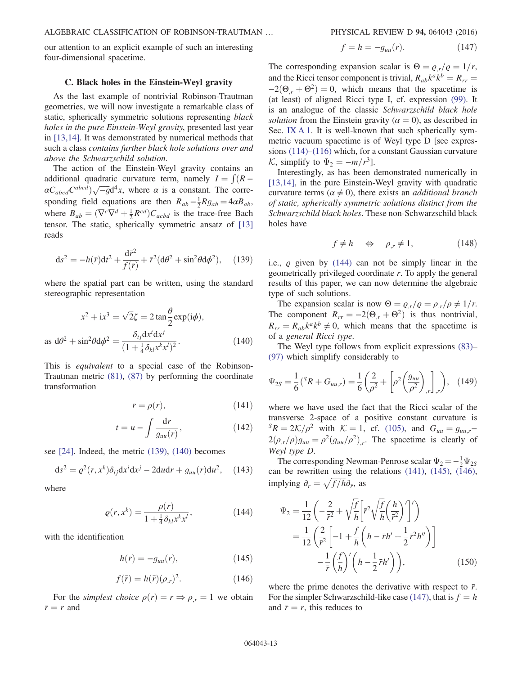our attention to an explicit example of such an interesting four-dimensional spacetime.

### <span id="page-12-8"></span>C. Black holes in the Einstein-Weyl gravity

As the last example of nontrivial Robinson-Trautman geometries, we will now investigate a remarkable class of static, spherically symmetric solutions representing black holes in the pure Einstein-Weyl gravity, presented last year in [\[13,14\]](#page-14-10). It was demonstrated by numerical methods that such a class contains further black hole solutions over and above the Schwarzschild solution.

The action of the Einstein-Weyl gravity contains an additional quadratic curvature term, namely  $I = \int (R - C)^{abcd}$  /  $\sqrt{-g}d^4$  *x* where  $\alpha$  is a constant. The corre- $\alpha C_{abcd}C^{abcd}$ ) $\sqrt{-g}d^4x$ , where  $\alpha$  is a constant. The corre-<br>constant field equations are then  $P = \frac{1}{2}R_x = 4\alpha P$ sponding field equations are then  $R_{ab} - \frac{1}{2}Rg_{ab} = 4\alpha B_{ab}$ ,<br>where  $B = (\nabla^c \nabla^d + 1 \nabla^d)G$  is the trees free Book where  $B_{ab} = (\nabla^c \nabla^d + \frac{1}{2} R^{cd}) C_{acbd}$  is the trace-free Bach<br>tensor. The static spherically symmetric ansatz of [13] tensor. The static, spherically symmetric ansatz of [\[13\]](#page-14-10) reads

<span id="page-12-0"></span>
$$
ds^{2} = -h(\bar{r})dt^{2} + \frac{d\bar{r}^{2}}{f(\bar{r})} + \bar{r}^{2}(d\theta^{2} + \sin^{2}\theta d\phi^{2}), \quad (139)
$$

<span id="page-12-1"></span>where the spatial part can be written, using the standard stereographic representation

$$
x^{2} + ix^{3} = \sqrt{2}\zeta = 2 \tan \frac{\theta}{2} \exp(i\phi),
$$
  
as d $\theta^{2} + \sin^{2}\theta d\phi^{2} = \frac{\delta_{ij}dx^{i}dx^{j}}{(1 + \frac{1}{4}\delta_{kl}x^{k}x^{l})^{2}}.$  (140)

<span id="page-12-3"></span>This is equivalent to a special case of the Robinson-Trautman metric [\(81\),](#page-8-5) [\(87\)](#page-8-2) by performing the coordinate transformation

$$
\bar{r} = \rho(r),\tag{141}
$$

$$
t = u - \int \frac{\mathrm{d}r}{g_{uu}(r)},\tag{142}
$$

see [\[24\]](#page-14-19). Indeed, the metric [\(139\),](#page-12-0) [\(140\)](#page-12-1) becomes

<span id="page-12-2"></span>
$$
ds2 = \varrho2(r, xk)\delta_{ij}dxj - 2dudr + g_{uu}(r)du2, (143)
$$

where

$$
\varrho(r, x^k) = \frac{\rho(r)}{1 + \frac{1}{4}\delta_{kl}x^k x^l},
$$
\n(144)

<span id="page-12-5"></span><span id="page-12-4"></span>with the identification

$$
h(\bar{r}) = -g_{uu}(r),\tag{145}
$$

$$
f(\bar{r}) = h(\bar{r})(\rho_{,r})^2. \tag{146}
$$

<span id="page-12-6"></span>For the *simplest choice*  $\rho(r) = r \Rightarrow \rho_r = 1$  we obtain  $\bar{r}=r$  and

$$
f = h = -g_{uu}(r). \tag{147}
$$

The corresponding expansion scalar is  $\Theta = \rho_r/\rho = 1/r$ , and the Ricci tensor component is trivial,  $R_{ab}k^ak^b = R_{rr}$  $-2(\Theta_r + \Theta^2) = 0$ , which means that the spacetime is (at least) of aligned Ricci type I, cf. expression [\(99\).](#page-9-9) It is an analogue of the classic Schwarzschild black hole solution from the Einstein gravity ( $\alpha = 0$ ), as described in Sec. [IX A 1.](#page-9-10) It is well-known that such spherically symmetric vacuum spacetime is of Weyl type D [see expressions [\(114\)](#page-10-9)–[\(116\)](#page-10-8) which, for a constant Gaussian curvature K, simplify to  $\Psi_2 = -m/r^3$ .

Interestingly, as has been demonstrated numerically in [\[13,14\]](#page-14-10), in the pure Einstein-Weyl gravity with quadratic curvature terms ( $\alpha \neq 0$ ), there exists an *additional branch* of static, spherically symmetric solutions distinct from the Schwarzschild black holes. These non-Schwarzschild black holes have

$$
f \neq h \quad \Leftrightarrow \quad \rho_{,r} \neq 1,\tag{148}
$$

i.e.,  $\rho$  given by [\(144\)](#page-12-2) can not be simply linear in the geometrically privileged coordinate r. To apply the general results of this paper, we can now determine the algebraic type of such solutions.

The expansion scalar is now  $\Theta = \rho_{,r}/\rho = \rho_{,r}/\rho \neq 1/r$ . The component  $R_{rr} = -2(\Theta_{,r} + \Theta^2)$  is thus nontrivial,  $R_{rr} = R_{ab}k^a k^b \neq 0$ , which means that the spacetime is of a general Ricci type.

The Weyl type follows from explicit expressions [\(83\)](#page-8-9)– [\(97\)](#page-9-1) which simplify considerably to

$$
\Psi_{2S} = \frac{1}{6} ({}^{S}R + G_{uu,r}) = \frac{1}{6} \left( \frac{2}{\rho^2} + \left[ \rho^2 \left( \frac{g_{uu}}{\rho^2} \right)_{,r} \right]_{,r} \right), \quad (149)
$$

where we have used the fact that the Ricci scalar of the transverse 2-space of a positive constant curvature is  ${}^{S}R = 2\mathcal{K}/\rho^2$  with  $\mathcal{K} = 1$ , cf. [\(105\)](#page-9-11), and  $G_{uu} = g_{uu,r}$  $2(\rho_{,r}/\rho)g_{uu}=\rho^2(g_{uu}/\rho^2)_{,r}$ . The spacetime is clearly of Weyl type D.

<span id="page-12-7"></span>The corresponding Newman-Penrose scalar  $\Psi_2 = -\frac{1}{2}\Psi_{2S}$ <br>the rewritten using the relations (141) (145) (146) can be rewritten using the relations  $(141)$ ,  $(145)$ ,  $(146)$ , implying  $\partial_r = \sqrt{f/h} \partial_{\bar{r}},$  as

$$
\Psi_2 = \frac{1}{12} \left( -\frac{2}{\bar{r}^2} + \sqrt{\frac{f}{h}} \left[ \bar{r}^2 \sqrt{\frac{f}{h}} \left( \frac{h}{\bar{r}^2} \right)' \right]' \right)
$$
  
\n
$$
= \frac{1}{12} \left( \frac{2}{\bar{r}^2} \left[ -1 + \frac{f}{h} \left( h - \bar{r}h' + \frac{1}{2} \bar{r}^2 h'' \right) \right] - \frac{1}{\bar{r}} \left( \frac{f}{h} \right)' \left( h - \frac{1}{2} \bar{r}h' \right) \right), \tag{150}
$$

where the prime denotes the derivative with respect to  $\bar{r}$ . For the simpler Schwarzschild-like case [\(147\)](#page-12-6), that is  $f = h$ and  $\bar{r} = r$ , this reduces to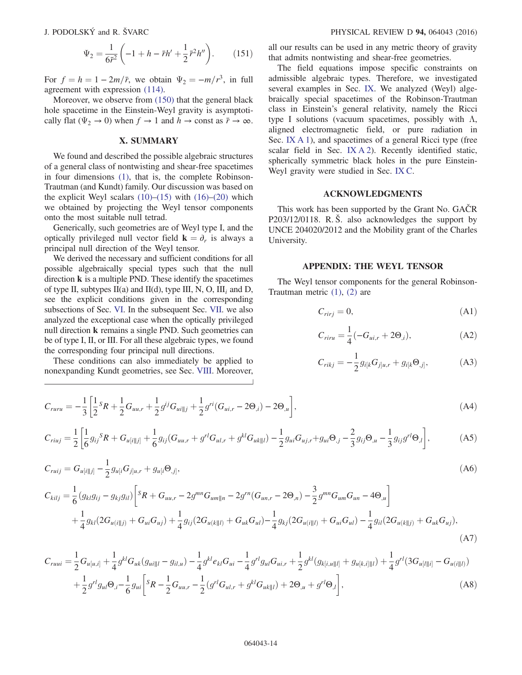$$
\Psi_2 = \frac{1}{6\bar{r}^2} \left( -1 + h - \bar{r}h' + \frac{1}{2}\bar{r}^2h'' \right). \tag{151}
$$

For  $f = h = 1 - 2m/\bar{r}$ , we obtain  $\Psi_2 = -m/r^3$ , in full agreement with expression [\(114\)](#page-10-9).

Moreover, we observe from [\(150\)](#page-12-7) that the general black hole spacetime in the Einstein-Weyl gravity is asymptotically flat ( $\Psi_2 \rightarrow 0$ ) when  $f \rightarrow 1$  and  $h \rightarrow$  const as  $\bar{r} \rightarrow \infty$ .

### X. SUMMARY

We found and described the possible algebraic structures of a general class of nontwisting and shear-free spacetimes in four dimensions [\(1\)](#page-1-2), that is, the complete Robinson-Trautman (and Kundt) family. Our discussion was based on the explicit Weyl scalars  $(10)$ – $(15)$  with  $(16)$ – $(20)$  which we obtained by projecting the Weyl tensor components onto the most suitable null tetrad.

Generically, such geometries are of Weyl type I, and the optically privileged null vector field  $\mathbf{k} = \partial_r$  is always a principal null direction of the Weyl tensor.

We derived the necessary and sufficient conditions for all possible algebraically special types such that the null direction  $k$  is a multiple PND. These identify the spacetimes of type II, subtypes II(a) and II(d), type III, N, O, III<sub>i</sub> and D, see the explicit conditions given in the corresponding subsections of Sec. [VI.](#page-4-1) In the subsequent Sec. [VII.](#page-6-0) we also analyzed the exceptional case when the optically privileged null direction k remains a single PND. Such geometries can be of type I, II, or III. For all these algebraic types, we found the corresponding four principal null directions.

These conditions can also immediately be applied to nonexpanding Kundt geometries, see Sec. [VIII](#page-8-0). Moreover, all our results can be used in any metric theory of gravity that admits nontwisting and shear-free geometries.

The field equations impose specific constraints on admissible algebraic types. Therefore, we investigated several examples in Sec. [IX.](#page-8-1) We analyzed (Weyl) algebraically special spacetimes of the Robinson-Trautman class in Einstein's general relativity, namely the Ricci type I solutions (vacuum spacetimes, possibly with  $\Lambda$ , aligned electromagnetic field, or pure radiation in Sec. [IX A 1\)](#page-9-10), and spacetimes of a general Ricci type (free scalar field in Sec. [IX A 2](#page-10-10)). Recently identified static, spherically symmetric black holes in the pure Einstein-Weyl gravity were studied in Sec. [IX C.](#page-12-8)

# ACKNOWLEDGMENTS

This work has been supported by the Grant No. GAČR P203/12/0118. R. Š. also acknowledges the support by UNCE 204020/2012 and the Mobility grant of the Charles University.

# APPENDIX: THE WEYL TENSOR

<span id="page-13-1"></span><span id="page-13-0"></span>The Weyl tensor components for the general Robinson-Trautman metric [\(1\),](#page-1-2) [\(2\)](#page-1-5) are

$$
C_{rirj} = 0,\t\t(A1)
$$

$$
C_{riru} = \frac{1}{4}(-G_{ui,r} + 2\Theta_{,i}),
$$
 (A2)

$$
C_{rikj} = -\frac{1}{2}g_{i[k}G_{j]u,r} + g_{i[k}\Theta_{,j]},
$$
 (A3)

$$
C_{ruru} = -\frac{1}{3} \left[ \frac{1}{2} s_R + \frac{1}{2} G_{uu,r} + \frac{1}{2} g^{ij} G_{ui||j} + \frac{1}{2} g^{ri} (G_{ui,r} - 2 \Theta_{,i}) - 2 \Theta_{,u} \right],
$$
\n(A4)

$$
C_{riuj} = \frac{1}{2} \left[ \frac{1}{6} g_{ij}{}^{S} R + G_{u[i||j]} + \frac{1}{6} g_{ij} (G_{uu,r} + g^{rl} G_{ul,r} + g^{kl} G_{uk||l}) - \frac{1}{2} g_{ui} G_{uj,r} + g_{ui} \Theta_{,j} - \frac{2}{3} g_{ij} \Theta_{,u} - \frac{1}{3} g_{ij} g^{rl} \Theta_{,l} \right],
$$
(A5)

$$
C_{ruij} = G_{u[i||j]} - \frac{1}{2} g_{u[i} G_{j]u,r} + g_{u[i} \Theta_{,j]},
$$
\n(A6)  
\n
$$
C_{kilj} = \frac{1}{6} (g_{kl} g_{ij} - g_{kj} g_{il}) \left[ sR + G_{uu,r} - 2g^{mn} G_{um||n} - 2g^{rn} (G_{un,r} - 2\Theta_{,n}) - \frac{3}{2} g^{mn} G_{um} G_{un} - 4\Theta_{,u} \right]
$$
\n
$$
+ \frac{1}{4} g_{kl} (2G_{u(i||j)} + G_{ui} G_{uj}) + \frac{1}{4} g_{ij} (2G_{u(k||l)} + G_{uk} G_{ul}) - \frac{1}{4} g_{kj} (2G_{u(i||l)} + G_{ui} G_{ul}) - \frac{1}{4} g_{il} (2G_{u(k||j)} + G_{uk} G_{uj}),
$$
\n(A7)

$$
C_{ruui} = \frac{1}{2} G_{u[u,i]} + \frac{1}{4} g^{kl} G_{uk}(g_{ui||l} - g_{il,u}) - \frac{1}{4} g^{kl} e_{kl} G_{ui} - \frac{1}{4} g^{rl} g_{ul} G_{ui,r} + \frac{1}{2} g^{kl}(g_{k[i,u||l]} + g_{u[k,i]||l}) + \frac{1}{4} g^{rl}(3G_{u[l||i]} - G_{u(i||l)})
$$
  
+ 
$$
\frac{1}{2} g^{rl} g_{ul} \Theta_{,i} - \frac{1}{6} g_{ui} \left[ {}^{S}R - \frac{1}{2} G_{uu,r} - \frac{1}{2} (g^{rl} G_{ul,r} + g^{kl} G_{uk||l}) + 2\Theta_{,u} + g^{rl} \Theta_{,l} \right],
$$
(A8)